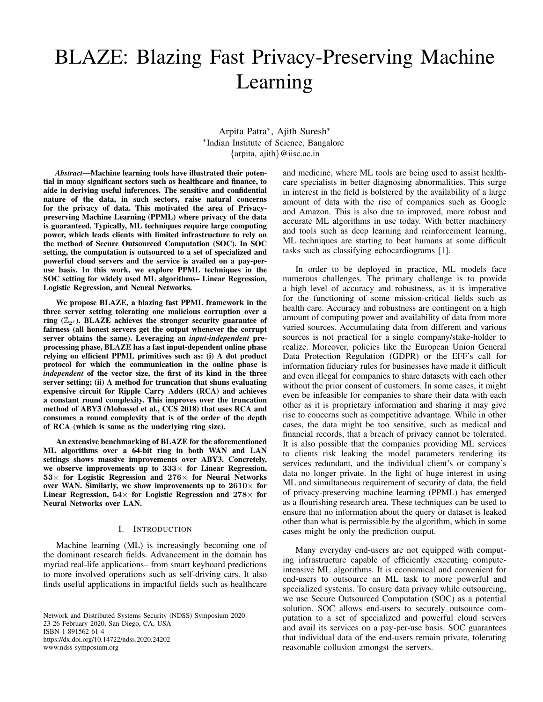# BLAZE: Blazing Fast Privacy-Preserving Machine Learning

Arpita Patra<sup>∗</sup> , Ajith Suresh<sup>∗</sup> ∗ Indian Institute of Science, Bangalore {arpita, ajith}@iisc.ac.in

*Abstract*—Machine learning tools have illustrated their potential in many significant sectors such as healthcare and finance, to aide in deriving useful inferences. The sensitive and confidential nature of the data, in such sectors, raise natural concerns for the privacy of data. This motivated the area of Privacypreserving Machine Learning (PPML) where privacy of the data is guaranteed. Typically, ML techniques require large computing power, which leads clients with limited infrastructure to rely on the method of Secure Outsourced Computation (SOC). In SOC setting, the computation is outsourced to a set of specialized and powerful cloud servers and the service is availed on a pay-peruse basis. In this work, we explore PPML techniques in the SOC setting for widely used ML algorithms– Linear Regression, Logistic Regression, and Neural Networks.

We propose BLAZE, a blazing fast PPML framework in the three server setting tolerating one malicious corruption over a ring  $(\mathbb{Z}_{2^{\ell}})$ . BLAZE achieves the stronger security guarantee of fairness (all honest servers get the output whenever the corrupt server obtains the same). Leveraging an *input-independent* preprocessing phase, BLAZE has a fast input-dependent online phase relying on efficient PPML primitives such as: (i) A dot product protocol for which the communication in the online phase is *independent* of the vector size, the first of its kind in the three server setting; (ii) A method for truncation that shuns evaluating expensive circuit for Ripple Carry Adders (RCA) and achieves a constant round complexity. This improves over the truncation method of ABY3 (Mohassel et al., CCS 2018) that uses RCA and consumes a round complexity that is of the order of the depth of RCA (which is same as the underlying ring size).

An extensive benchmarking of BLAZE for the aforementioned ML algorithms over a 64-bit ring in both WAN and LAN settings shows massive improvements over ABY3. Concretely, we observe improvements up to  $333\times$  for Linear Regression,  $53\times$  for Logistic Regression and  $276\times$  for Neural Networks over WAN. Similarly, we show improvements up to  $2610\times$  for Linear Regression,  $54\times$  for Logistic Regression and  $278\times$  for Neural Networks over LAN.

#### I. INTRODUCTION

Machine learning (ML) is increasingly becoming one of the dominant research fields. Advancement in the domain has myriad real-life applications– from smart keyboard predictions to more involved operations such as self-driving cars. It also finds useful applications in impactful fields such as healthcare

Network and Distributed Systems Security (NDSS) Symposium 2020 23-26 February 2020, San Diego, CA, USA ISBN 1-891562-61-4 https://dx.doi.org/10.14722/ndss.2020.24202 www.ndss-symposium.org

and medicine, where ML tools are being used to assist healthcare specialists in better diagnosing abnormalities. This surge in interest in the field is bolstered by the availability of a large amount of data with the rise of companies such as Google and Amazon. This is also due to improved, more robust and accurate ML algorithms in use today. With better machinery and tools such as deep learning and reinforcement learning, ML techniques are starting to beat humans at some difficult tasks such as classifying echocardiograms [\[1\]](#page-13-0).

In order to be deployed in practice, ML models face numerous challenges. The primary challenge is to provide a high level of accuracy and robustness, as it is imperative for the functioning of some mission-critical fields such as health care. Accuracy and robustness are contingent on a high amount of computing power and availability of data from more varied sources. Accumulating data from different and various sources is not practical for a single company/stake-holder to realize. Moreover, policies like the European Union General Data Protection Regulation (GDPR) or the EFF's call for information fiduciary rules for businesses have made it difficult and even illegal for companies to share datasets with each other without the prior consent of customers. In some cases, it might even be infeasible for companies to share their data with each other as it is proprietary information and sharing it may give rise to concerns such as competitive advantage. While in other cases, the data might be too sensitive, such as medical and financial records, that a breach of privacy cannot be tolerated. It is also possible that the companies providing ML services to clients risk leaking the model parameters rendering its services redundant, and the individual client's or company's data no longer private. In the light of huge interest in using ML and simultaneous requirement of security of data, the field of privacy-preserving machine learning (PPML) has emerged as a flourishing research area. These techniques can be used to ensure that no information about the query or dataset is leaked other than what is permissible by the algorithm, which in some cases might be only the prediction output.

Many everyday end-users are not equipped with computing infrastructure capable of efficiently executing computeintensive ML algorithms. It is economical and convenient for end-users to outsource an ML task to more powerful and specialized systems. To ensure data privacy while outsourcing, we use Secure Outsourced Computation (SOC) as a potential solution. SOC allows end-users to securely outsource computation to a set of specialized and powerful cloud servers and avail its services on a pay-per-use basis. SOC guarantees that individual data of the end-users remain private, tolerating reasonable collusion amongst the servers.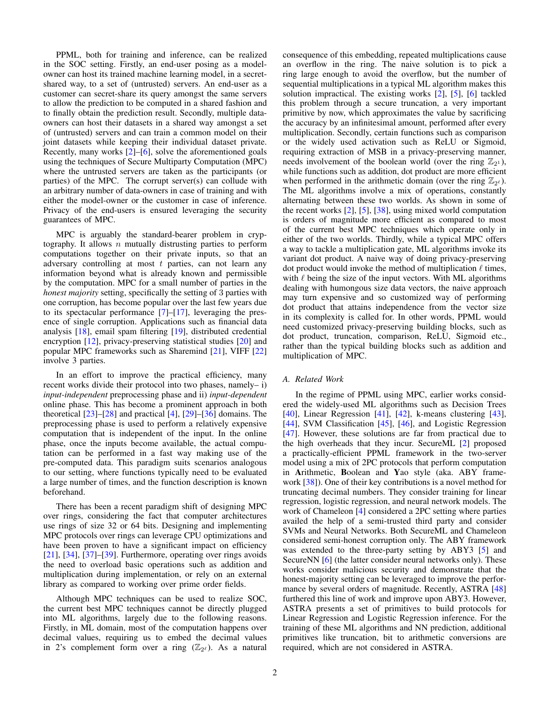PPML, both for training and inference, can be realized in the SOC setting. Firstly, an end-user posing as a modelowner can host its trained machine learning model, in a secretshared way, to a set of (untrusted) servers. An end-user as a customer can secret-share its query amongst the same servers to allow the prediction to be computed in a shared fashion and to finally obtain the prediction result. Secondly, multiple dataowners can host their datasets in a shared way amongst a set of (untrusted) servers and can train a common model on their joint datasets while keeping their individual dataset private. Recently, many works [\[2\]](#page-13-1)–[\[6\]](#page-13-2), solve the aforementioned goals using the techniques of Secure Multiparty Computation (MPC) where the untrusted servers are taken as the participants (or parties) of the MPC. The corrupt server(s) can collude with an arbitrary number of data-owners in case of training and with either the model-owner or the customer in case of inference. Privacy of the end-users is ensured leveraging the security guarantees of MPC.

MPC is arguably the standard-bearer problem in cryptography. It allows  $n$  mutually distrusting parties to perform computations together on their private inputs, so that an adversary controlling at most  $t$  parties, can not learn any information beyond what is already known and permissible by the computation. MPC for a small number of parties in the *honest majority* setting, specifically the setting of 3 parties with one corruption, has become popular over the last few years due to its spectacular performance [\[7\]](#page-13-3)–[\[17\]](#page-13-4), leveraging the presence of single corruption. Applications such as financial data analysis [\[18\]](#page-13-5), email spam filtering [\[19\]](#page-13-6), distributed credential encryption [\[12\]](#page-13-7), privacy-preserving statistical studies [\[20\]](#page-13-8) and popular MPC frameworks such as Sharemind [\[21\]](#page-13-9), VIFF [\[22\]](#page-13-10) involve 3 parties.

In an effort to improve the practical efficiency, many recent works divide their protocol into two phases, namely– i) *input-independent* preprocessing phase and ii) *input-dependent* online phase. This has become a prominent approach in both theoretical [\[23\]](#page-13-11)–[\[28\]](#page-13-12) and practical [\[4\]](#page-13-13), [\[29\]](#page-13-14)–[\[36\]](#page-13-15) domains. The preprocessing phase is used to perform a relatively expensive computation that is independent of the input. In the online phase, once the inputs become available, the actual computation can be performed in a fast way making use of the pre-computed data. This paradigm suits scenarios analogous to our setting, where functions typically need to be evaluated a large number of times, and the function description is known beforehand.

There has been a recent paradigm shift of designing MPC over rings, considering the fact that computer architectures use rings of size 32 or 64 bits. Designing and implementing MPC protocols over rings can leverage CPU optimizations and have been proven to have a significant impact on efficiency [\[21\]](#page-13-9), [\[34\]](#page-13-16), [\[37\]](#page-13-17)–[\[39\]](#page-13-18). Furthermore, operating over rings avoids the need to overload basic operations such as addition and multiplication during implementation, or rely on an external library as compared to working over prime order fields.

Although MPC techniques can be used to realize SOC, the current best MPC techniques cannot be directly plugged into ML algorithms, largely due to the following reasons. Firstly, in ML domain, most of the computation happens over decimal values, requiring us to embed the decimal values in 2's complement form over a ring  $(\mathbb{Z}_{2^{\ell}})$ . As a natural

consequence of this embedding, repeated multiplications cause an overflow in the ring. The naive solution is to pick a ring large enough to avoid the overflow, but the number of sequential multiplications in a typical ML algorithm makes this solution impractical. The existing works [\[2\]](#page-13-1), [\[5\]](#page-13-19), [\[6\]](#page-13-2) tackled this problem through a secure truncation, a very important primitive by now, which approximates the value by sacrificing the accuracy by an infinitesimal amount, performed after every multiplication. Secondly, certain functions such as comparison or the widely used activation such as ReLU or Sigmoid, requiring extraction of MSB in a privacy-preserving manner, needs involvement of the boolean world (over the ring  $\mathbb{Z}_{2^1}$ ), while functions such as addition, dot product are more efficient when performed in the arithmetic domain (over the ring  $\mathbb{Z}_{2^{\ell}}$ ). The ML algorithms involve a mix of operations, constantly alternating between these two worlds. As shown in some of the recent works [\[2\]](#page-13-1), [\[5\]](#page-13-19), [\[38\]](#page-13-20), using mixed world computation is orders of magnitude more efficient as compared to most of the current best MPC techniques which operate only in either of the two worlds. Thirdly, while a typical MPC offers a way to tackle a multiplication gate, ML algorithms invoke its variant dot product. A naive way of doing privacy-preserving dot product would invoke the method of multiplication  $\ell$  times, with  $\ell$  being the size of the input vectors. With ML algorithms dealing with humongous size data vectors, the naive approach may turn expensive and so customized way of performing dot product that attains independence from the vector size in its complexity is called for. In other words, PPML would need customized privacy-preserving building blocks, such as dot product, truncation, comparison, ReLU, Sigmoid etc., rather than the typical building blocks such as addition and multiplication of MPC.

# *A. Related Work*

In the regime of PPML using MPC, earlier works considered the widely-used ML algorithms such as Decision Trees [\[40\]](#page-13-21), Linear Regression [\[41\]](#page-13-22), [\[42\]](#page-13-23), k-means clustering [\[43\]](#page-13-24), [\[44\]](#page-13-25), SVM Classification [\[45\]](#page-13-26), [\[46\]](#page-13-27), and Logistic Regression [\[47\]](#page-13-28). However, these solutions are far from practical due to the high overheads that they incur. SecureML [\[2\]](#page-13-1) proposed a practically-efficient PPML framework in the two-server model using a mix of 2PC protocols that perform computation in Arithmetic, Boolean and Yao style (aka. ABY framework [\[38\]](#page-13-20)). One of their key contributions is a novel method for truncating decimal numbers. They consider training for linear regression, logistic regression, and neural network models. The work of Chameleon [\[4\]](#page-13-13) considered a 2PC setting where parties availed the help of a semi-trusted third party and consider SVMs and Neural Networks. Both SecureML and Chameleon considered semi-honest corruption only. The ABY framework was extended to the three-party setting by ABY3 [\[5\]](#page-13-19) and SecureNN [\[6\]](#page-13-2) (the latter consider neural networks only). These works consider malicious security and demonstrate that the honest-majority setting can be leveraged to improve the perfor-mance by several orders of magnitude. Recently, ASTRA [\[48\]](#page-13-29) furthered this line of work and improve upon ABY3. However, ASTRA presents a set of primitives to build protocols for Linear Regression and Logistic Regression inference. For the training of these ML algorithms and NN prediction, additional primitives like truncation, bit to arithmetic conversions are required, which are not considered in ASTRA.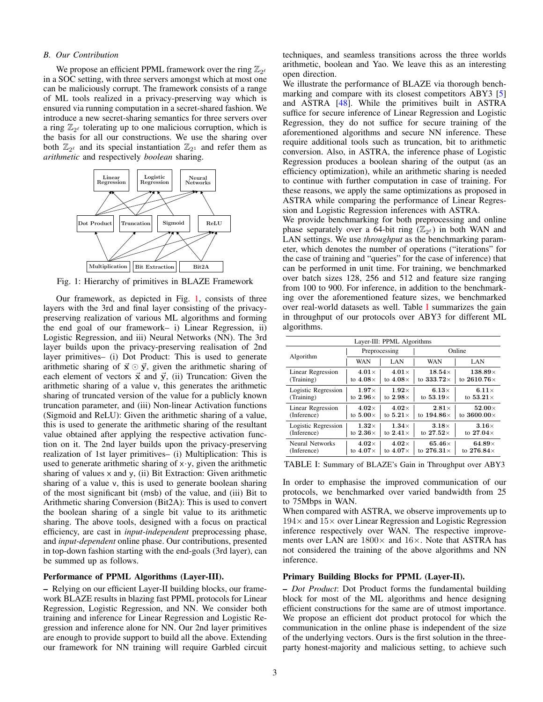#### *B. Our Contribution*

We propose an efficient PPML framework over the ring  $\mathbb{Z}_{2^{\ell}}$ in a SOC setting, with three servers amongst which at most one can be maliciously corrupt. The framework consists of a range of ML tools realized in a privacy-preserving way which is ensured via running computation in a secret-shared fashion. We introduce a new secret-sharing semantics for three servers over a ring  $\mathbb{Z}_{2^{\ell}}$  tolerating up to one malicious corruption, which is the basis for all our constructions. We use the sharing over both  $\mathbb{Z}_{2^{\ell}}$  and its special instantiation  $\mathbb{Z}_{2^1}$  and refer them as *arithmetic* and respectively *boolean* sharing.

<span id="page-2-0"></span>

Fig. 1: Hierarchy of primitives in BLAZE Framework

Our framework, as depicted in Fig. [1,](#page-2-0) consists of three layers with the 3rd and final layer consisting of the privacypreserving realization of various ML algorithms and forming the end goal of our framework– i) Linear Regression, ii) Logistic Regression, and iii) Neural Networks (NN). The 3rd layer builds upon the privacy-preserving realisation of 2nd layer primitives– (i) Dot Product: This is used to generate arithmetic sharing of  $\vec{x} \odot \vec{y}$ , given the arithmetic sharing of each element of vectors  $\vec{x}$  and  $\vec{y}$ , (ii) Truncation: Given the arithmetic sharing of a value v, this generates the arithmetic sharing of truncated version of the value for a publicly known truncation parameter, and (iii) Non-linear Activation functions (Sigmoid and ReLU): Given the arithmetic sharing of a value, this is used to generate the arithmetic sharing of the resultant value obtained after applying the respective activation function on it. The 2nd layer builds upon the privacy-preserving realization of 1st layer primitives– (i) Multiplication: This is used to generate arithmetic sharing of  $x \cdot y$ , given the arithmetic sharing of values  $x$  and  $y$ , (ii) Bit Extraction: Given arithmetic sharing of a value v, this is used to generate boolean sharing of the most significant bit (msb) of the value, and (iii) Bit to Arithmetic sharing Conversion (Bit2A): This is used to convert the boolean sharing of a single bit value to its arithmetic sharing. The above tools, designed with a focus on practical efficiency, are cast in *input-independent* preprocessing phase, and *input-dependent* online phase. Our contributions, presented in top-down fashion starting with the end-goals (3rd layer), can be summed up as follows.

#### Performance of PPML Algorithms (Layer-III).

– Relying on our efficient Layer-II building blocks, our framework BLAZE results in blazing fast PPML protocols for Linear Regression, Logistic Regression, and NN. We consider both training and inference for Linear Regression and Logistic Regression and inference alone for NN. Our 2nd layer primitives are enough to provide support to build all the above. Extending our framework for NN training will require Garbled circuit techniques, and seamless transitions across the three worlds arithmetic, boolean and Yao. We leave this as an interesting open direction.

We illustrate the performance of BLAZE via thorough bench-marking and compare with its closest competitors ABY3 [\[5\]](#page-13-19) and ASTRA [\[48\]](#page-13-29). While the primitives built in ASTRA suffice for secure inference of Linear Regression and Logistic Regression, they do not suffice for secure training of the aforementioned algorithms and secure NN inference. These require additional tools such as truncation, bit to arithmetic conversion. Also, in ASTRA, the inference phase of Logistic Regression produces a boolean sharing of the output (as an efficiency optimization), while an arithmetic sharing is needed to continue with further computation in case of training. For these reasons, we apply the same optimizations as proposed in ASTRA while comparing the performance of Linear Regression and Logistic Regression inferences with ASTRA.

We provide benchmarking for both preprocessing and online phase separately over a 64-bit ring  $(\mathbb{Z}_{2^{\ell}})$  in both WAN and LAN settings. We use *throughput* as the benchmarking parameter, which denotes the number of operations ("iterations" for the case of training and "queries" for the case of inference) that can be performed in unit time. For training, we benchmarked over batch sizes 128, 256 and 512 and feature size ranging from 100 to 900. For inference, in addition to the benchmarking over the aforementioned feature sizes, we benchmarked over real-world datasets as well. Table [I](#page-2-1) summarizes the gain in throughput of our protocols over ABY3 for different ML algorithms.

<span id="page-2-1"></span>

| Layer-III: PPML Algorithms |                 |                 |                    |                    |  |  |
|----------------------------|-----------------|-----------------|--------------------|--------------------|--|--|
| Algorithm                  |                 | Preprocessing   |                    | Online             |  |  |
|                            | WAN             | LAN             | WAN                | LAN                |  |  |
| Linear Regression          | $4.01\times$    | $4.01\times$    | $18.54\times$      | $138.89\times$     |  |  |
| (Training)                 | to $4.08\times$ | to $4.08\times$ | to 333.72 $\times$ | to $2610.76\times$ |  |  |
| Logistic Regression        | $1.97\times$    | $1.92\times$    | 6.13 $\times$      | $6.11\times$       |  |  |
| (Training)                 | to $2.96\times$ | to $2.98\times$ | to 53.19 $\times$  | to $53.21\times$   |  |  |
| Linear Regression          | $4.02\times$    | $4.02\times$    | $2.81\times$       | $52.00\times$      |  |  |
| (Inference)                | to $5.00\times$ | to $5.21\times$ | to $194.86\times$  | to $3600.00\times$ |  |  |
| Logistic Regression        | $1.32\times$    | $1.34\times$    | $3.18\times$       | $3.16\times$       |  |  |
| (Inference)                | to $2.36\times$ | to $2.41\times$ | to $27.52\times$   | to $27.04\times$   |  |  |
| Neural Networks            | $4.02\times$    | $4.02\times$    | 65.46 $\times$     | 64.89 $\times$     |  |  |
| (Inference)                | to $4.07\times$ | to $4.07\times$ | to $276.31\times$  | to $276.84\times$  |  |  |

TABLE I: Summary of BLAZE's Gain in Throughput over ABY3

In order to emphasise the improved communication of our protocols, we benchmarked over varied bandwidth from 25 to 75Mbps in WAN.

When compared with ASTRA, we observe improvements up to  $194\times$  and  $15\times$  over Linear Regression and Logistic Regression inference respectively over WAN. The respective improvements over LAN are  $1800\times$  and  $16\times$ . Note that ASTRA has not considered the training of the above algorithms and NN inference.

# Primary Building Blocks for PPML (Layer-II).

– *Dot Product*: Dot Product forms the fundamental building block for most of the ML algorithms and hence designing efficient constructions for the same are of utmost importance. We propose an efficient dot product protocol for which the communication in the online phase is independent of the size of the underlying vectors. Ours is the first solution in the threeparty honest-majority and malicious setting, to achieve such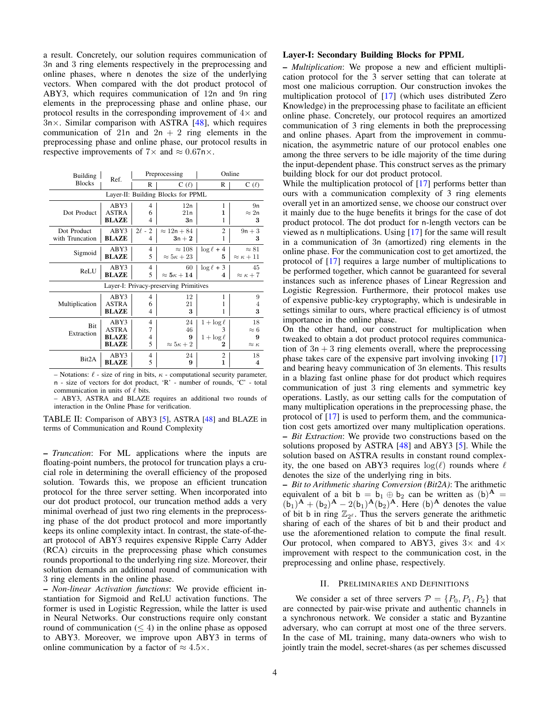a result. Concretely, our solution requires communication of 3n and 3 ring elements respectively in the preprocessing and online phases, where n denotes the size of the underlying vectors. When compared with the dot product protocol of ABY3, which requires communication of 12n and 9n ring elements in the preprocessing phase and online phase, our protocol results in the corresponding improvement of  $4\times$  and  $3n \times$ . Similar comparison with ASTRA [\[48\]](#page-13-29), which requires communication of 21n and  $2n + 2$  ring elements in the preprocessing phase and online phase, our protocol results in respective improvements of  $7\times$  and  $\approx 0.67$ n $\times$ .

| Building        |              | Preprocessing<br>Ref. |                                        |                 | Online                |  |
|-----------------|--------------|-----------------------|----------------------------------------|-----------------|-----------------------|--|
| <b>Blocks</b>   |              | R                     | $C(\ell)$                              | R               | $C(\ell)$             |  |
|                 |              |                       | Layer-II: Building Blocks for PPML     |                 |                       |  |
|                 | ABY3         | 4                     | 12n                                    | 1               | 9n                    |  |
| Dot Product     | <b>ASTRA</b> | 6                     | 21n                                    | 1               | $\approx 2n$          |  |
|                 | BLAZE        | 4                     | 3n                                     | 1               | 3                     |  |
| Dot Product     | ABY3         | $2\ell - 2$           | $\approx 12n + 84$                     | 2               | $9n + 3$              |  |
| with Truncation | <b>BLAZE</b> | $\overline{4}$        | $3n + 2$                               | 1               | 3                     |  |
| Sigmoid         | ABY3         | $\overline{4}$        | $\approx 108$                          | $\log \ell + 4$ | $\approx 81$          |  |
|                 | <b>BLAZE</b> | 5                     | $\approx 5\kappa + 23$                 | 5               | $\approx \kappa + 11$ |  |
| ReLU            | ABY3         | $\overline{4}$        | 60                                     | $\log \ell + 3$ | 45                    |  |
|                 | <b>BLAZE</b> | 5                     | $\approx 5\kappa+14$                   | 4               | $\approx \kappa + 7$  |  |
|                 |              |                       | Layer-I: Privacy-preserving Primitives |                 |                       |  |
|                 | ABY3         | 4                     | 12                                     | 1               | 9                     |  |
| Multiplication  | <b>ASTRA</b> | 6                     | 21                                     | 1               | 4                     |  |
|                 | <b>BLAZE</b> | 4                     | 3                                      | 1               | 3                     |  |
| <b>Bit</b>      | ABY3         | $\overline{4}$        | 24                                     | $1 + \log \ell$ | 18                    |  |
| Extraction      | <b>ASTRA</b> | 7                     | 46                                     | 3               | $\approx 6$           |  |
|                 | <b>BLAZE</b> | 4                     | 9                                      | $1 + \log \ell$ | 9                     |  |
|                 | BLAZE        | 5                     | $\approx 5\kappa + 2$                  | 2               | $\approx \kappa$      |  |
| Bit2A           | ABY3         | 4                     | 24                                     | 2               | 18                    |  |
|                 | <b>BLAZE</b> | 5                     | 9                                      | $\mathbf{1}$    | 4                     |  |

– Notations:  $\ell$  - size of ring in bits,  $\kappa$  - computational security parameter, n - size of vectors for dot product, 'R' - number of rounds, 'C' - total communication in units of  $\ell$  bits.

– ABY3, ASTRA and BLAZE requires an additional two rounds of interaction in the Online Phase for verification.

TABLE II: Comparison of ABY3 [\[5\]](#page-13-19), ASTRA [\[48\]](#page-13-29) and BLAZE in terms of Communication and Round Complexity

– *Truncation*: For ML applications where the inputs are floating-point numbers, the protocol for truncation plays a crucial role in determining the overall efficiency of the proposed solution. Towards this, we propose an efficient truncation protocol for the three server setting. When incorporated into our dot product protocol, our truncation method adds a very minimal overhead of just two ring elements in the preprocessing phase of the dot product protocol and more importantly keeps its online complexity intact. In contrast, the state-of-theart protocol of ABY3 requires expensive Ripple Carry Adder (RCA) circuits in the preprocessing phase which consumes rounds proportional to the underlying ring size. Moreover, their solution demands an additional round of communication with 3 ring elements in the online phase.

– *Non-linear Activation functions*: We provide efficient instantiation for Sigmoid and ReLU activation functions. The former is used in Logistic Regression, while the latter is used in Neural Networks. Our constructions require only constant round of communication  $(\leq 4)$  in the online phase as opposed to ABY3. Moreover, we improve upon ABY3 in terms of online communication by a factor of  $\approx 4.5 \times$ .

# Layer-I: Secondary Building Blocks for PPML

– *Multiplication*: We propose a new and efficient multiplication protocol for the 3 server setting that can tolerate at most one malicious corruption. Our construction invokes the multiplication protocol of [\[17\]](#page-13-4) (which uses distributed Zero Knowledge) in the preprocessing phase to facilitate an efficient online phase. Concretely, our protocol requires an amortized communication of 3 ring elements in both the preprocessing and online phases. Apart from the improvement in communication, the asymmetric nature of our protocol enables one among the three servers to be idle majority of the time during the input-dependent phase. This construct serves as the primary building block for our dot product protocol.

While the multiplication protocol of [\[17\]](#page-13-4) performs better than ours with a communication complexity of 3 ring elements overall yet in an amortized sense, we choose our construct over it mainly due to the huge benefits it brings for the case of dot product protocol. The dot product for n-length vectors can be viewed as n multiplications. Using [\[17\]](#page-13-4) for the same will result in a communication of 3n (amortized) ring elements in the online phase. For the communication cost to get amortized, the protocol of [\[17\]](#page-13-4) requires a large number of multiplications to be performed together, which cannot be guaranteed for several instances such as inference phases of Linear Regression and Logistic Regression. Furthermore, their protocol makes use of expensive public-key cryptography, which is undesirable in settings similar to ours, where practical efficiency is of utmost importance in the online phase.

On the other hand, our construct for multiplication when tweaked to obtain a dot product protocol requires communication of  $3n + 3$  ring elements overall, where the preprocessing phase takes care of the expensive part involving invoking [\[17\]](#page-13-4) and bearing heavy communication of 3n elements. This results in a blazing fast online phase for dot product which requires communication of just 3 ring elements and symmetric key operations. Lastly, as our setting calls for the computation of many multiplication operations in the preprocessing phase, the protocol of [\[17\]](#page-13-4) is used to perform them, and the communication cost gets amortized over many multiplication operations. – *Bit Extraction*: We provide two constructions based on the solutions proposed by ASTRA [\[48\]](#page-13-29) and ABY3 [\[5\]](#page-13-19). While the solution based on ASTRA results in constant round complexity, the one based on ABY3 requires  $log(\ell)$  rounds where  $\ell$ denotes the size of the underlying ring in bits.

– *Bit to Arithmetic sharing Conversion (Bit2A)*: The arithmetic equivalent of a bit  $b = b_1 \oplus b_2$  can be written as  $(b)^\mathbf{A} = (b)^\mathbf{A}$  $(b_1)^{\mathbf{A}} + (b_2)^{\mathbf{A}} - 2(b_1)^{\mathbf{A}} (b_2)^{\mathbf{A}}$ . Here  $(b)^{\mathbf{A}}$  denotes the value of bit b in ring  $\mathbb{Z}_{2^{\ell}}$ . Thus the servers generate the arithmetic sharing of each of the shares of bit b and their product and use the aforementioned relation to compute the final result. Our protocol, when compared to ABY3, gives  $3 \times$  and  $4 \times$ improvement with respect to the communication cost, in the preprocessing and online phase, respectively.

### II. PRELIMINARIES AND DEFINITIONS

We consider a set of three servers  $\mathcal{P} = \{P_0, P_1, P_2\}$  that are connected by pair-wise private and authentic channels in a synchronous network. We consider a static and Byzantine adversary, who can corrupt at most one of the three servers. In the case of ML training, many data-owners who wish to jointly train the model, secret-shares (as per schemes discussed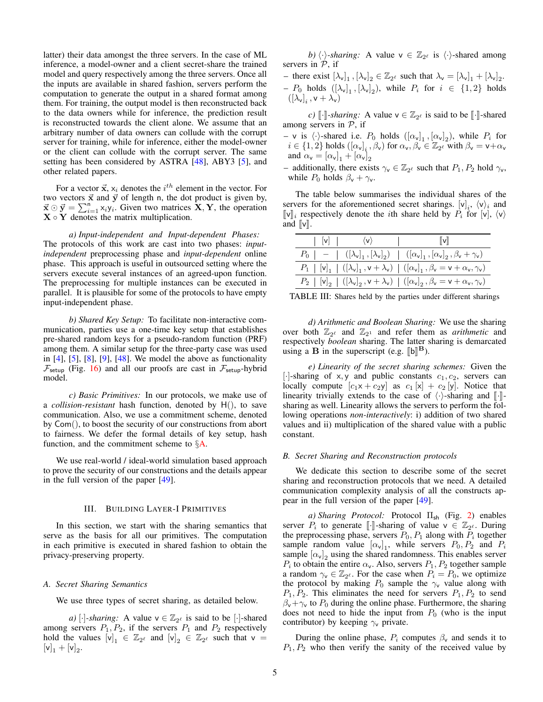latter) their data amongst the three servers. In the case of ML inference, a model-owner and a client secret-share the trained model and query respectively among the three servers. Once all the inputs are available in shared fashion, servers perform the computation to generate the output in a shared format among them. For training, the output model is then reconstructed back to the data owners while for inference, the prediction result is reconstructed towards the client alone. We assume that an arbitrary number of data owners can collude with the corrupt server for training, while for inference, either the model-owner or the client can collude with the corrupt server. The same setting has been considered by ASTRA [\[48\]](#page-13-29), ABY3 [\[5\]](#page-13-19), and other related papers.

For a vector  $\vec{x}$ ,  $x_i$  denotes the  $i^{th}$  element in the vector. For two vectors  $\vec{x}$  and  $\vec{y}$  of length n, the dot product is given by,  $\vec{x} \odot \vec{y} = \sum_{i=1}^{n} x_i y_i$ . Given two matrices  $\vec{X}, \vec{Y}$ , the operation  $X \circ Y$  denotes the matrix multiplication.

*a) Input-independent and Input-dependent Phases:* The protocols of this work are cast into two phases: *inputindependent* preprocessing phase and *input-dependent* online phase. This approach is useful in outsourced setting where the servers execute several instances of an agreed-upon function. The preprocessing for multiple instances can be executed in parallel. It is plausible for some of the protocols to have empty input-independent phase.

*b) Shared Key Setup:* To facilitate non-interactive communication, parties use a one-time key setup that establishes pre-shared random keys for a pseudo-random function (PRF) among them. A similar setup for the three-party case was used in  $[4]$ ,  $[5]$ ,  $[8]$ ,  $[9]$ ,  $[48]$ . We model the above as functionality  $\mathcal{F}_{\text{setup}}$  (Fig. [16\)](#page-14-0) and all our proofs are cast in  $\mathcal{F}_{\text{setup}}$ -hybrid model.

*c) Basic Primitives:* In our protocols, we make use of a *collision-resistant* hash function, denoted by H(), to save communication. Also, we use a commitment scheme, denoted by Com(), to boost the security of our constructions from abort to fairness. We defer the formal details of key setup, hash function, and the commitment scheme to  $\S$ **A**.

We use real-world / ideal-world simulation based approach to prove the security of our constructions and the details appear in the full version of the paper [\[49\]](#page-13-32).

#### III. BUILDING LAYER-I PRIMITIVES

In this section, we start with the sharing semantics that serve as the basis for all our primitives. The computation in each primitive is executed in shared fashion to obtain the privacy-preserving property.

# <span id="page-4-0"></span>*A. Secret Sharing Semantics*

We use three types of secret sharing, as detailed below.

*a*) [·]*-sharing*: A value  $v \in \mathbb{Z}_{2^{\ell}}$  is said to be [·]-shared among servers  $P_1$ ,  $P_2$ , if the servers  $P_1$  and  $P_2$  respectively hold the values  $[v]_1 \in \mathbb{Z}_{2^{\ell}}$  and  $[v]_2 \in \mathbb{Z}_{2^{\ell}}$  such that  $v =$  $[v]_1 + [v]_2.$ 

*b)*  $\langle \cdot \rangle$ -sharing: A value  $v \in \mathbb{Z}_{2^{\ell}}$  is  $\langle \cdot \rangle$ -shared among servers in  $\mathcal{P}$ , if

- there exist  $[\lambda_v]_1$ ,  $[\lambda_v]_2 \in \mathbb{Z}_{2^{\ell}}$  such that  $\lambda_v = [\lambda_v]_1 + [\lambda_v]_2$ .  $-P_0$  holds  $([\lambda_v]_1, [\lambda_v]_2)$ , while  $P_i$  for  $i \in \{1,2\}$  holds  $\left(\left[\lambda_{\mathsf{v}}\right]_i, \mathsf{v}+\lambda_{\mathsf{v}}\right)$ 

*c)*  $\llbracket \cdot \rrbracket$ -sharing: A value  $v \in \mathbb{Z}_{2^{\ell}}$  is said to be  $\llbracket \cdot \rrbracket$ -shared servers in  $\mathcal{D}$  if among servers in  $P$ , if

 $-$  v is  $\langle \cdot \rangle$ -shared i.e.  $P_0$  holds  $([\alpha_{\nu}]_1, [\alpha_{\nu}]_2)$ , while  $P_i$  for  $i \in \{1, 2\}$  holds  $([\alpha_{v}]_{i}, \beta_{v})$  for  $\alpha_{v}, \beta_{v} \in \mathbb{Z}_{2^{\ell}}$  with  $\beta_{v} = v + \alpha_{v}$ and  $\alpha_{\mathsf{v}} = [\alpha_{\mathsf{v}}]_1 + [\alpha_{\mathsf{v}}]_2$ 

- additionally, there exists  $\gamma_v \in \mathbb{Z}_{2^{\ell}}$  such that  $P_1, P_2$  hold  $\gamma_v$ , while  $P_0$  holds  $\beta_{\rm v} + \gamma_{\rm v}$ .

The table below summarises the individual shares of the servers for the aforementioned secret sharings.  $[v]_i$ ,  $\langle v \rangle_i$  and  $[\![v]\!]_i$  respectively denote the *i*th share held by  $P_i$  for  $[v]$ ,  $\langle v \rangle$ and  $\|v\|$ .

| $ V $ $\langle V \rangle$ | $\ \mathbf{v}\ $                                                                                                          |
|---------------------------|---------------------------------------------------------------------------------------------------------------------------|
|                           | $P_0$   -   $([\lambda_{\nu}]_1, [\lambda_{\nu}]_2)$   $([\alpha_{\nu}]_1, [\alpha_{\nu}]_2, \beta_{\nu} + \gamma_{\nu})$ |
|                           | $P_1$   $[v]_1$   $([\lambda_v]_1, v + \lambda_v)$   $([\alpha_v]_1, \beta_v = v + \alpha_v, \gamma_v)$                   |
|                           | $P_2$   $[v]_2$   $([\lambda_v]_2, v + \lambda_v)$   $([\alpha_v]_2, \beta_v = v + \alpha_v, \gamma_v)$                   |

TABLE III: Shares held by the parties under different sharings

*d) Arithmetic and Boolean Sharing:* We use the sharing over both  $\mathbb{Z}_{2^{\ell}}$  and  $\mathbb{Z}_{2^1}$  and refer them as *arithmetic* and respectively *boolean* sharing. The latter sharing is demarcated using a **B** in the superscript (e.g.  $[\![\mathbf{b}]\!]^{\mathbf{B}}$ ).

*e) Linearity of the secret sharing schemes:* Given the [·]-sharing of x, y and public constants  $c_1, c_2$ , servers can locally compute  $[c_1x + c_2y]$  as  $c_1[x] + c_2[y]$ . Notice that linearity trivially extends to the case of  $\langle \cdot \rangle$ -sharing and  $\lVert \cdot \rVert$ sharing as well. Linearity allows the servers to perform the following operations *non-interactively*: i) addition of two shared values and ii) multiplication of the shared value with a public constant.

# *B. Secret Sharing and Reconstruction protocols*

We dedicate this section to describe some of the secret sharing and reconstruction protocols that we need. A detailed communication complexity analysis of all the constructs appear in the full version of the paper [\[49\]](#page-13-32).

*a) Sharing Protocol:* Protocol Πsh (Fig. [2\)](#page-5-0) enables server  $P_i$  to generate [[...]-sharing of value  $v \in \mathbb{Z}_{2^{\ell}}$ . During the preprocessing phase servers  $P_2$ ,  $P_3$  along with  $P_1$  together the preprocessing phase, servers  $P_0$ ,  $P_1$  along with  $P_i$  together sample random value  $[\alpha_v]_1$ , while servers  $P_0, P_2$  and  $P_i$ sample  $[\alpha_{\nu}]_2$  using the shared randomness. This enables server  $P_i$  to obtain the entire  $\alpha_{\mathsf{v}}$ . Also, servers  $P_1, P_2$  together sample a random  $\gamma_v \in \mathbb{Z}_{2^{\ell}}$ . For the case when  $P_i = P_0$ , we optimize the protocol by making  $P_0$  sample the  $\gamma$  value along with  $P_1, P_2$ . This eliminates the need for servers  $P_1, P_2$  to send  $\beta_{\rm v}+\gamma_{\rm v}$  to  $P_0$  during the online phase. Furthermore, the sharing does not need to hide the input from  $P_0$  (who is the input contributor) by keeping  $\gamma$  private.

During the online phase,  $P_i$  computes  $\beta_{\mathsf{v}}$  and sends it to  $P_1, P_2$  who then verify the sanity of the received value by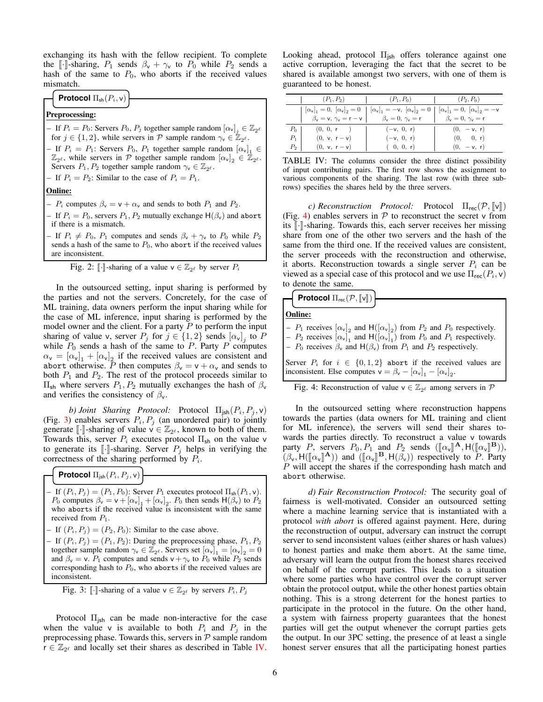exchanging its hash with the fellow recipient. To complete the [ $\cdot$ ]-sharing,  $P_1$  sends  $\beta_{\rm v} + \gamma_{\rm v}$  to  $P_0$  while  $P_2$  sends a hash of the same to  $P_0$ , who aborts if the received values mismatch.

# **Protocol**  $\Pi_{\text{sh}}(P_i, \mathsf{v})$

# Preprocessing:

- If  $P_i = P_0$ : Servers  $P_0$ ,  $P_j$  together sample random  $[\alpha_v]_j \in \mathbb{Z}_{2^{\ell}}$ for  $j \in \{1, 2\}$ , while servers in P sample random  $\gamma_v \in \mathbb{Z}_{2^{\ell}}$ .

- If  $P_i = P_1$ : Servers  $P_0$ ,  $P_1$  together sample random  $[\alpha_v]_1 \in$  $\mathbb{Z}_{2^{\ell}}$ , while servers in P together sample random  $[\alpha_{v}]_2 \in \mathbb{Z}_{2^{\ell}}$ . Servers  $P_1, P_2$  together sample random  $\gamma_v \in \mathbb{Z}_{2^{\ell}}$ .
- If  $P_i = P_2$ : Similar to the case of  $P_i = P_1$ .

# Online:

–  $P_i$  computes  $\beta_{\rm v} = {\rm v} + \alpha_{\rm v}$  and sends to both  $P_1$  and  $P_2$ .

- If  $P_i = P_0$ , servers  $P_1, P_2$  mutually exchange  $H(\beta_v)$  and abort if there is a mismatch.
- If  $P_i \neq P_0$ ,  $P_1$  computes and sends  $\beta_{\rm v} + \gamma_{\rm v}$  to  $P_0$  while  $P_2$ sends a hash of the same to  $P_0$ , who abort if the received values are inconsistent.

<span id="page-5-0"></span>Fig. 2: 
$$
[\![\cdot]\!]
$$
-sharp of a value  $\mathsf{v} \in \mathbb{Z}_{2^{\ell}}$  by server  $P_i$ 

In the outsourced setting, input sharing is performed by the parties and not the servers. Concretely, for the case of ML training, data owners perform the input sharing while for the case of ML inference, input sharing is performed by the model owner and the client. For a party  $P$  to perform the input sharing of value v, server  $P_j$  for  $j \in \{1, 2\}$  sends  $[\alpha_v]_j$  to P while  $P_0$  sends a hash of the same to P. Party P computes  $\alpha_{v} = [\alpha_{v}]_1 + [\alpha_{v}]_2$  if the received values are consistent and abort otherwise. P then computes  $\beta_{\mathsf{v}} = \mathsf{v} + \alpha_{\mathsf{v}}$  and sends to both  $P_1$  and  $P_2$ . The rest of the protocol proceeds similar to  $\Pi_{\rm sh}$  where servers  $P_1, P_2$  mutually exchanges the hash of  $β_ν$ and verifies the consistency of  $\beta_{v}$ .

*b) Joint Sharing Protocol:* Protocol  $\Pi_{\mathsf{jsh}}(P_i, P_j, \mathsf{v})$ (Fig. [3\)](#page-5-1) enables servers  $P_i, P_j$  (an unordered pair) to jointly generate [[·]-sharing of value  $y \in \mathbb{Z}_{2^{\ell}}$ , known to both of them.<br>Towards this, server *P*: executes protocol  $\Pi_{\ell}$ , on the value y Towards this, server  $P_i$  executes protocol  $\Pi_{sh}$  on the value v to generate its  $\llbracket \cdot \rrbracket$ -sharing. Server  $P_j$  helps in verifying the correctness of the sharing performed by  $P_i$ .

**Protocol**  $\Pi_{\text{jsh}}(P_i, P_j, \mathsf{v})$ 

- If  $(P_i, P_j) = (P_1, P_0)$ : Server  $P_1$  executes protocol  $\Pi_{\text{sh}}(P_1, \nu)$ .  $P_0$  computes  $\beta_{\rm v} = {\rm v} + [\alpha_{\rm v}]_1 + [\alpha_{\rm v}]_2$ .  $P_0$  then sends  $H(\beta_{\rm v})$  to  $P_2$ who aborts if the received value is inconsistent with the same received from  $P_1$ .
- If  $(P_i, P_j) = (P_2, P_0)$ : Similar to the case above.
- If  $(P_i, P_j) = (P_1, P_2)$ : During the preprocessing phase,  $P_1, P_2$ together sample random  $\gamma_v \in \mathbb{Z}_{2^{\ell}}$ . Servers set  $[\alpha_v]_1 = [\alpha_v]_2 = 0$ and  $\beta_{\rm v} = v$ .  $P_1$  computes and sends  $v + \gamma_{\rm v}$  to  $P_0$  while  $P_2$  sends corresponding hash to  $P_0$ , who aborts if the received values are inconsistent.

<span id="page-5-1"></span>Fig. 3:  $\lbrack \cdot \rbrack$ -sharing of a value  $\mathsf{v} \in \mathbb{Z}_{2^{\ell}}$  by servers  $P_i, P_j$ 

Protocol  $\Pi_{jsh}$  can be made non-interactive for the case when the value v is available to both  $P_i$  and  $P_j$  in the preprocessing phase. Towards this, servers in  $P$  sample random  $\mathbf{r} \in \mathbb{Z}_{2^{\ell}}$  and locally set their shares as described in Table [IV.](#page-5-2)

Looking ahead, protocol  $\Pi_{\text{ish}}$  offers tolerance against one active corruption, leveraging the fact that the secret to be shared is available amongst two servers, with one of them is guaranteed to be honest.

<span id="page-5-2"></span>

|       | $(P_1, P_2)$                                                                                                                                            | $(P_1, P_0)$                                                                                                                  | $(P_2, P_0)$                                  |
|-------|---------------------------------------------------------------------------------------------------------------------------------------------------------|-------------------------------------------------------------------------------------------------------------------------------|-----------------------------------------------|
|       |                                                                                                                                                         | $[\alpha_{\mathsf{v}}]_1 = 0, [\alpha_{\mathsf{v}}]_2 = 0 [\alpha_{\mathsf{v}}]_1 = -\mathsf{v}, [\alpha_{\mathsf{v}}]_2 = 0$ | $ \alpha_{v} _{1} = 0,  \alpha_{v} _{2} = -v$ |
|       | $\beta_{\mathsf{v}} = \mathsf{v}, \ \gamma_{\mathsf{v}} = \mathsf{r} - \mathsf{v}$ $\big $ $\beta_{\mathsf{v}} = 0, \ \gamma_{\mathsf{v}} = \mathsf{r}$ |                                                                                                                               | $\beta_{\rm v}=0, \gamma_{\rm v}=\mathsf{r}$  |
| $P_0$ | (0, 0, r)                                                                                                                                               | $(-v, 0, r)$                                                                                                                  | $(0, -v, r)$                                  |
| $P_1$ | $(0, v, r - v)$                                                                                                                                         | $(-v, 0, r)$                                                                                                                  | (0, 0, r)                                     |
| $P_2$ | $(0, v, r - v)$                                                                                                                                         | (0, 0, r)                                                                                                                     | $(0, -v, r)$                                  |

TABLE IV: The columns consider the three distinct possibility of input contributing pairs. The first row shows the assignment to various components of the sharing. The last row (with three subrows) specifies the shares held by the three servers.

*c) Reconstruction Protocol:* Protocol  $\Pi_{\text{rec}}(\mathcal{P}, \llbracket \mathbf{v} \rrbracket)$ (Fig. [4\)](#page-5-3) enables servers in  $P$  to reconstruct the secret v from its  $\lceil \cdot \rceil$ -sharing. Towards this, each server receives her missing share from one of the other two servers and the hash of the same from the third one. If the received values are consistent, the server proceeds with the reconstruction and otherwise, it aborts. Reconstruction towards a single server  $P_i$  can be viewed as a special case of this protocol and we use  $\Pi_{\text{rec}}(P_i, \mathsf{v})$ to denote the same.

$$
\left\{\text{Protocol } \Pi_{\text{rec}}(\mathcal{P}, \llbracket \mathsf{v} \rrbracket) \right\}
$$

Online:

 $-P_1$  receives  $[\alpha_{\text{v}}]_2$  and  $H([\alpha_{\text{v}}]_2)$  from  $P_2$  and  $P_0$  respectively.

 $-P_2$  receives  $[\alpha_{\nu}]_1$  and  $H([\alpha_{\nu}]_1)$  from  $P_0$  and  $P_1$  respectively.

–  $P_0$  receives  $\beta_v$  and  $H(\beta_v)$  from  $P_1$  and  $P_2$  respectively.

Server  $P_i$  for  $i \in \{0, 1, 2\}$  abort if the received values are inconsistent. Else computes  $v = \beta_v - [\alpha_v]_1 - [\alpha_v]_2$ .

<span id="page-5-3"></span>Fig. 4: Reconstruction of value  $v \in \mathbb{Z}_{2^{\ell}}$  among servers in  $\mathcal P$ 

In the outsourced setting where reconstruction happens towards the parties (data owners for ML training and client for ML inference), the servers will send their shares towards the parties directly. To reconstruct a value v towards party P, servers  $P_0, P_1$  and  $P_2$  sends  $([\![\alpha_{\nu}]\!]^{\mathbf{A}}, H([\![\alpha_{\nu}]\!]^{\mathbf{B}})$ ,  $(\beta \mid H([\![\alpha \cdot \cdot \cdot]]^{\mathbf{B}})$  and  $([\![\alpha \cdot \cdot \cdot]]^{\mathbf{B}}$   $H(\beta \cdot \cdot)$  respectively to P Party  $(\beta_{\mathsf{v}}, \mathsf{H}([\![\alpha_{\mathsf{v}}]\!] \mathsf{A}))$  and  $([\![\alpha_{\mathsf{v}}]\!] \mathsf{B}, \mathsf{H}(\beta_{\mathsf{v}}))$  respectively to P. Party  $P$  will accept the shares if the corresponding hash match and P will accept the shares if the corresponding hash match and abort otherwise.

*d) Fair Reconstruction Protocol:* The security goal of fairness is well-motivated. Consider an outsourced setting where a machine learning service that is instantiated with a protocol *with abort* is offered against payment. Here, during the reconstruction of output, adversary can instruct the corrupt server to send inconsistent values (either shares or hash values) to honest parties and make them abort. At the same time, adversary will learn the output from the honest shares received on behalf of the corrupt parties. This leads to a situation where some parties who have control over the corrupt server obtain the protocol output, while the other honest parties obtain nothing. This is a strong deterrent for the honest parties to participate in the protocol in the future. On the other hand, a system with fairness property guarantees that the honest parties will get the output whenever the corrupt parties gets the output. In our 3PC setting, the presence of at least a single honest server ensures that all the participating honest parties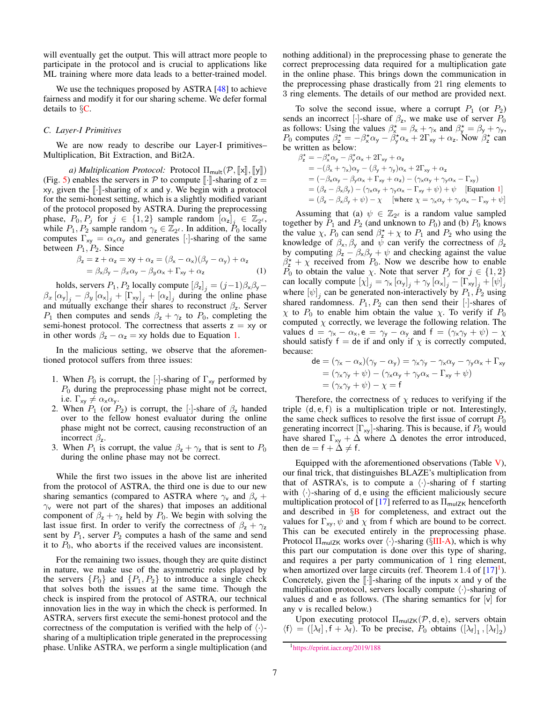will eventually get the output. This will attract more people to participate in the protocol and is crucial to applications like ML training where more data leads to a better-trained model.

We use the techniques proposed by ASTRA [\[48\]](#page-13-29) to achieve fairness and modify it for our sharing scheme. We defer formal details to  $\S$ **C**.

# *C. Layer-I Primitives*

We are now ready to describe our Layer-I primitives– Multiplication, Bit Extraction, and Bit2A.

*a) Multiplication Protocol:* Protocol  $\Pi_{mult}(P, \llbracket x \rrbracket, \llbracket y \rrbracket)$ (Fig. [5\)](#page-7-0) enables the servers in  $P$  to compute  $\lbrack \cdot \rbrack$ -sharing of z = xy, given the  $\lceil \cdot \rceil$ -sharing of x and y. We begin with a protocol for the semi-honest setting, which is a slightly modified variant of the protocol proposed by ASTRA. During the preprocessing phase,  $P_0, P_j$  for  $j \in \{1, 2\}$  sample random  $[\alpha_z]_j \in \mathbb{Z}_{2^{\ell}}$ , while  $P_1, P_2$  sample random  $\gamma_z \in \mathbb{Z}_{2^{\ell}}$ . In addition,  $P_0$  locally computes  $\Gamma_{xy} = \alpha_x \alpha_y$  and generates [·]-sharing of the same between  $P_1, P_2$ . Since

$$
\beta_z = z + \alpha_z = xy + \alpha_z = (\beta_x - \alpha_x)(\beta_y - \alpha_y) + \alpha_z
$$
  
=  $\beta_x \beta_y - \beta_x \alpha_y - \beta_y \alpha_x + \Gamma_{xy} + \alpha_z$  (1)

holds, servers  $P_1$ ,  $P_2$  locally compute  $[\beta_z]_j = (j-1)\beta_x\beta_y \beta_x [\alpha_y]_j - \beta_y [\alpha_x]_j + [\Gamma_{xy}]_j + [\alpha_z]_j$  during the online phase and mutually exchange their shares to reconstruct  $\beta_z$ . Server  $P_1$  then computes and sends  $\beta_z + \gamma_z$  to  $P_0$ , completing the semi-honest protocol. The correctness that asserts  $z = xy$  or in other words  $\beta_z - \alpha_z = xy$  holds due to Equation [1.](#page-6-0)

In the malicious setting, we observe that the aforementioned protocol suffers from three issues:

- 1. When  $P_0$  is corrupt, the [·]-sharing of  $\Gamma_{xy}$  performed by  $P_0$  during the preprocessing phase might not be correct, i.e.  $\Gamma_{xy} \neq \alpha_x \alpha_y$ .
- 2. When  $P_1$  (or  $P_2$ ) is corrupt, the [·]-share of  $\beta_2$  handed over to the fellow honest evaluator during the online phase might not be correct, causing reconstruction of an incorrect  $\beta_z$ .
- 3. When  $P_1$  is corrupt, the value  $\beta_z + \gamma_z$  that is sent to  $P_0$ during the online phase may not be correct.

While the first two issues in the above list are inherited from the protocol of ASTRA, the third one is due to our new sharing semantics (compared to ASTRA where  $\gamma_v$  and  $\beta_v$  +  $\gamma$  were not part of the shares) that imposes an additional component of  $\beta_z + \gamma_z$  held by  $P_0$ . We begin with solving the last issue first. In order to verify the correctness of  $\beta_z + \gamma_z$ sent by  $P_1$ , server  $P_2$  computes a hash of the same and send it to  $P_0$ , who aborts if the received values are inconsistent.

For the remaining two issues, though they are quite distinct in nature, we make use of the asymmetric roles played by the servers  $\{P_0\}$  and  $\{P_1, P_2\}$  to introduce a single check that solves both the issues at the same time. Though the check is inspired from the protocol of ASTRA, our technical innovation lies in the way in which the check is performed. In ASTRA, servers first execute the semi-honest protocol and the correctness of the computation is verified with the help of  $\langle \cdot \rangle$ sharing of a multiplication triple generated in the preprocessing phase. Unlike ASTRA, we perform a single multiplication (and

nothing additional) in the preprocessing phase to generate the correct preprocessing data required for a multiplication gate in the online phase. This brings down the communication in the preprocessing phase drastically from 21 ring elements to 3 ring elements. The details of our method are provided next.

To solve the second issue, where a corrupt  $P_1$  (or  $P_2$ ) sends an incorrect [·]-share of  $\beta_z$ , we make use of server  $P_0$ as follows: Using the values  $\beta_{x}^* = \beta_{x} + \gamma_{x}$  and  $\beta_{y}^* = \beta_{y} + \gamma_{y}$ ,  $P_0$  computes  $\beta_z^* = -\beta_x^* \alpha_y - \beta_y^* \alpha_x + 2\Gamma_{xy} + \alpha_z$ . Now  $\beta_z^*$  can be written as below:

 $\beta_{z}^{\star} = -\beta_{x}^{\star}\alpha_{y} - \beta_{y}^{\star}\alpha_{x} + 2\Gamma_{xy} + \alpha_{z}$  $= -(\beta_{x} + \gamma_{x})\alpha_{y} - (\beta_{y} + \gamma_{y})\alpha_{x} + 2\Gamma_{xy} + \alpha_{z}$  $= (-\beta_{x}\alpha_{y} - \beta_{y}\alpha_{x} + \Gamma_{xy} + \alpha_{z}) - (\gamma_{x}\alpha_{y} + \gamma_{y}\alpha_{x} - \Gamma_{xy})$  $= (\beta_z - \beta_x \beta_y) - (\gamma_x \alpha_y + \gamma_y \alpha_x - \Gamma_{xy} + \psi) + \psi$  [Equation [1](#page-6-0)]  $= (\beta_z - \beta_x \beta_y + \psi) - \chi$  [where  $\chi = \gamma_x \alpha_y + \gamma_y \alpha_x - \Gamma_{xy} + \psi$ ]

<span id="page-6-0"></span>Assuming that (a)  $\psi \in \mathbb{Z}_{2^{\ell}}$  is a random value sampled together by  $P_1$  and  $P_2$  (and unknown to  $P_0$ ) and (b)  $P_0$  knows the value  $\chi$ ,  $P_0$  can send  $\beta_2^* + \chi$  to  $P_1$  and  $P_2$  who using the knowledge of  $\beta_x$ ,  $\beta_y$  and  $\psi$  can verify the correctness of  $\beta_z$ by computing  $\beta_z - \beta_x \beta_y + \psi$  and checking against the value  $\beta_2^* + \chi$  received from  $P_0$ . Now we describe how to enable  $P_0$  to obtain the value  $\chi$ . Note that server  $P_j$  for  $j \in \{1,2\}$ can locally compute  $[\chi]_j = \gamma_x [\alpha_y]_j + \gamma_y [\alpha_x]_j - [\Gamma_{xy}]_j + [\psi]_j$ where  $[\psi]_j$  can be generated non-interactively by  $P_1, P_2$  using shared randomness.  $P_1, P_2$  can then send their [·]-shares of  $χ$  to  $P_0$  to enable him obtain the value  $χ$ . To verify if  $P_0$ computed  $\chi$  correctly, we leverage the following relation. The values d =  $\gamma_x - \alpha_x$ , e =  $\gamma_y - \alpha_y$  and f =  $(\gamma_x \gamma_y + \psi) - \chi$ should satisfy  $f = de$  if and only if  $\chi$  is correctly computed, because:

$$
\begin{aligned} \mathsf{de} &= (\gamma_{\mathsf{x}} - \alpha_{\mathsf{x}})(\gamma_{\mathsf{y}} - \alpha_{\mathsf{y}}) = \gamma_{\mathsf{x}}\gamma_{\mathsf{y}} - \gamma_{\mathsf{x}}\alpha_{\mathsf{y}} - \gamma_{\mathsf{y}}\alpha_{\mathsf{x}} + \Gamma_{\mathsf{x}\mathsf{y}} \\ &= (\gamma_{\mathsf{x}}\gamma_{\mathsf{y}} + \psi) - (\gamma_{\mathsf{x}}\alpha_{\mathsf{y}} + \gamma_{\mathsf{y}}\alpha_{\mathsf{x}} - \Gamma_{\mathsf{x}\mathsf{y}} + \psi) \\ &= (\gamma_{\mathsf{x}}\gamma_{\mathsf{y}} + \psi) - \chi = \mathsf{f} \end{aligned}
$$

Therefore, the correctness of  $\chi$  reduces to verifying if the triple (d, e, f) is a multiplication triple or not. Interestingly, the same check suffices to resolve the first issue of corrupt  $P_0$ generating incorrect  $[\Gamma_{xy}]$ -sharing. This is because, if  $P_0$  would have shared  $\Gamma_{xy} + \Delta$  where  $\Delta$  denotes the error introduced, then de = f +  $\Delta \neq$  f.

Equipped with the aforementioned observations (Table  $V$ ), our final trick, that distinguishes BLAZE's multiplication from that of ASTRA's, is to compute a  $\langle \cdot \rangle$ -sharing of f starting with  $\langle \cdot \rangle$ -sharing of d, e using the efficient maliciously secure multiplication protocol of [\[17\]](#page-13-4) referred to as  $\Pi_{\text{mulZK}}$  henceforth and described in  $\S$ [B](#page-14-2) for completeness, and extract out the values for  $\Gamma_{xy}$ ,  $\psi$  and  $\chi$  from f which are bound to be correct. This can be executed entirely in the preprocessing phase. Protocol  $\Pi_{\text{mulZK}}$  works over  $\langle \cdot \rangle$ -sharing (§[III-A\)](#page-4-0), which is why this part our computation is done over this type of sharing, and requires a per party communication of 1 ring element, when amortized over large circuits (ref. Theorem  $1.4$  $1.4$  of  $[17]$ <sup>1</sup>). Concretely, given the  $\llbracket \cdot \rrbracket$ -sharing of the inputs x and y of the multiplication protocol, servers locally compute  $\langle \cdot \rangle$ -sharing of values d and e as follows. (The sharing semantics for  $[v]$  for any v is recalled below.)

Upon executing protocol  $\Pi_{\text{mulZK}}(\mathcal{P}, d, e)$ , servers obtain  $\langle f \rangle = ([\lambda_f], f + \lambda_f)$ . To be precise,  $P_0$  obtains  $([\lambda_f]_1, [\lambda_f]_2)$ 

<span id="page-6-1"></span><sup>1</sup><https://eprint.iacr.org/2019/188>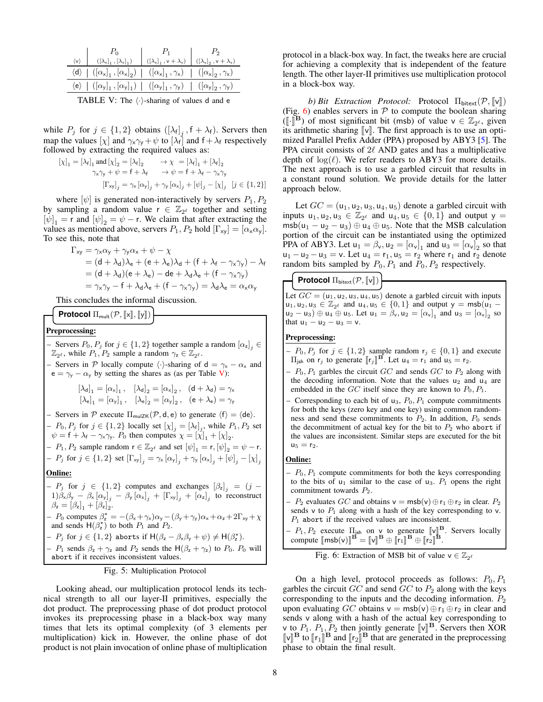<span id="page-7-1"></span>

| $\langle v \rangle$ $\begin{array}{c c} P_0 & P_1 & P_2 \ (\lfloor \lambda_v \rfloor_1, \lfloor \lambda_v \rfloor_1) & (\lfloor \lambda_v \rfloor_1, v + \lambda_v) & (\lfloor \lambda_v \rfloor_2, v + \lambda_v) \end{array}$ |  |
|---------------------------------------------------------------------------------------------------------------------------------------------------------------------------------------------------------------------------------|--|
|                                                                                                                                                                                                                                 |  |
| $\langle d \rangle   ( [\alpha_x]_1, [\alpha_x]_2)   ( [\alpha_x]_1, \gamma_x)   ( [\alpha_x]_2, \gamma_x)$                                                                                                                     |  |
| $\langle e \rangle$ $ ([\alpha_{y}]_{1}, [\alpha_{y}]_{1})   ([\alpha_{y}]_{1}, \gamma_{y})   ([\alpha_{y}]_{2}, \gamma_{y})$                                                                                                   |  |
|                                                                                                                                                                                                                                 |  |

TABLE V: The  $\langle \cdot \rangle$ -sharing of values d and e

while  $P_j$  for  $j \in \{1,2\}$  obtains  $([\lambda_f]_j$ ,  $f + \lambda_f$ ). Servers then map the values  $[\chi]$  and  $\gamma_x \gamma_y + \psi$  to  $[\lambda_f]$  and  $f + \lambda_f$  respectively followed by extracting the required values as:

$$
\begin{aligned} [\chi]_1 &= [\lambda_{\mathsf{f}}]_1 \text{ and } [\chi]_2 = [\lambda_{\mathsf{f}}]_2 & \rightarrow \chi &= [\lambda_{\mathsf{f}}]_1 + [\lambda_{\mathsf{f}}]_2 \\ \gamma_{\mathsf{x}} \gamma_{\mathsf{y}} + \psi &= \mathsf{f} + \lambda_{\mathsf{f}} & \rightarrow \psi = \mathsf{f} + \lambda_{\mathsf{f}} - \gamma_{\mathsf{x}} \gamma_{\mathsf{y}} \\ [\Gamma_{\mathsf{x}\mathsf{y}}]_j &= \gamma_{\mathsf{x}} [\alpha_{\mathsf{y}}]_j + \gamma_{\mathsf{y}} [\alpha_{\mathsf{x}}]_j + [\psi]_j - [\chi]_j \quad [j \in \{1, 2\}] \end{aligned}
$$

where  $[\psi]$  is generated non-interactively by servers  $P_1, P_2$ by sampling a random value  $r \in \mathbb{Z}_{2^{\ell}}$  together and setting  $[\psi]_1$  = r and  $[\psi]_2 = \psi - r$ . We claim that after extracting the values as mentioned above, servers  $P_1$ ,  $P_2$  hold  $[\Gamma_{xy}] = [\alpha_x \alpha_y]$ . To see this, note that

$$
\Gamma_{xy} = \gamma_x \alpha_y + \gamma_y \alpha_x + \psi - \chi
$$
  
=  $(d + \lambda_d)\lambda_e + (e + \lambda_e)\lambda_d + (f + \lambda_f - \gamma_x \gamma_y) - \lambda_f$   
=  $(d + \lambda_d)(e + \lambda_e) - de + \lambda_d \lambda_e + (f - \gamma_x \gamma_y)$   
=  $\gamma_x \gamma_y - f + \lambda_d \lambda_e + (f - \gamma_x \gamma_y) = \lambda_d \lambda_e = \alpha_x \alpha_y$ 

This concludes the informal discussion.

$$
\textcolor{red}{\textbf{Protocol}\:\Pi_{mult}(\mathcal{P},\llbracket x \rrbracket,\llbracket y \rrbracket)}
$$

#### Preprocessing:

- Servers  $P_0, P_j$  for  $j \in \{1, 2\}$  together sample a random  $[\alpha_z]_j \in$  $\mathbb{Z}_{2^{\ell}}$ , while  $P_1, P_2$  sample a random  $\gamma_z \in \mathbb{Z}_{2^{\ell}}$ .

– Servers in P locally compute  $\langle \cdot \rangle$ -sharing of d =  $\gamma_x - \alpha_x$  and  $e = \gamma_y - \alpha_y$  by setting the shares as (as per Table [V\)](#page-7-1):

$$
\begin{aligned} \left[\lambda_{\mathbf{d}}\right]_1 &= \left[\alpha_{\mathbf{x}}\right]_1, \quad \left[\lambda_{\mathbf{d}}\right]_2 = \left[\alpha_{\mathbf{x}}\right]_2, \quad \left(\mathbf{d} + \lambda_{\mathbf{d}}\right) = \gamma_{\mathbf{x}}\\ \left[\lambda_{\mathbf{e}}\right]_1 &= \left[\alpha_{\mathbf{y}}\right]_1, \quad \left[\lambda_{\mathbf{e}}\right]_2 = \left[\alpha_{\mathbf{y}}\right]_2, \quad \left(\mathbf{e} + \lambda_{\mathbf{e}}\right) = \gamma_{\mathbf{y}} \end{aligned}
$$

– Servers in P execute  $\Pi_{\text{mulZK}}(\mathcal{P}, d, e)$  to generate  $\langle f \rangle = \langle de \rangle$ .  $-P_0, P_j \text{ for } j \in \{1,2\} \text{ locally set } [\chi]_j = [\lambda_f]_j, \text{ while } P_1, P_2 \text{ set}$  $\psi = f + \lambda_f - \gamma_x \gamma_y$ .  $P_0$  then computes  $\chi = [\chi]_1 + [\chi]_2$ . -  $P_1$ ,  $P_2$  sample random  $\mathbf{r} \in \mathbb{Z}_{2^{\ell}}$  and set  $[\psi]_1 = \mathbf{r}, [\psi]_2 = \psi - \mathbf{r}$ . -  $P_j$  for  $j \in \{1,2\}$  set  $[\Gamma_{xy}]_j = \gamma_x [\alpha_y]_j + \gamma_y [\alpha_x]_j + [\psi]_j - [\chi]_j$ Online:  $-P_j$  for  $j \in \{1,2\}$  computes and exchanges  $\left[\beta_z\right]_j = (j-1)$  $(1) \beta_x \beta_y - \beta_x [\alpha_y]_j - \beta_y [\alpha_x]_j + [\Gamma_{xy}]_j + [\alpha_z]_j$  to reconstruct  $\beta_{\mathsf{z}} = [\beta_{\mathsf{z}}]_1 + [\beta_{\mathsf{z}}]_2^{\mathsf{T}}.$ -  $P_0$  computes  $\beta_z^* = -(\beta_x + \gamma_x)\alpha_y - (\beta_y + \gamma_y)\alpha_x + \alpha_z + 2\Gamma_{xy} + \chi$ and sends  $H(\beta_z^{\star})$  to both  $P_1$  and  $P_2$ .

- P<sub>j</sub> for  $j \in \{1,2\}$  aborts if  $H(\beta_z - \beta_x\beta_y + \psi) \neq H(\beta_z^{\star}).$ 

–  $P_1$  sends  $\beta_z + \gamma_z$  and  $P_2$  sends the  $H(\beta_z + \gamma_z)$  to  $P_0$ .  $P_0$  will abort if it receives inconsistent values.

<span id="page-7-0"></span>

Looking ahead, our multiplication protocol lends its technical strength to all our layer-II primitives, especially the dot product. The preprocessing phase of dot product protocol invokes its preprocessing phase in a black-box way many times that lets its optimal complexity (of 3 elements per multiplication) kick in. However, the online phase of dot product is not plain invocation of online phase of multiplication protocol in a black-box way. In fact, the tweaks here are crucial for achieving a complexity that is independent of the feature length. The other layer-II primitives use multiplication protocol in a block-box way.

*b) Bit Extraction Protocol:* Protocol  $\Pi_{\text{bitext}}(\mathcal{P}, \llbracket \mathbf{v} \rrbracket)$ (Fig. [6\)](#page-7-2) enables servers in  $P$  to compute the boolean sharing  $(\llbracket \cdot \rrbracket^B)$  of most significant bit (msb) of value  $v \in \mathbb{Z}_{2^{\ell}}$ , given<br>its arithmetic sharing  $\llbracket v \rrbracket$ . The first approach is to use an optiits arithmetic sharing  $\llbracket v \rrbracket$ . The first approach is to use an optimized Parallel Prefix Adder (PPA) proposed by ABY3 [\[5\]](#page-13-19). The PPA circuit consists of  $2\ell$  AND gates and has a multiplicative depth of  $log(\ell)$ . We refer readers to ABY3 for more details. The next approach is to use a garbled circuit that results in a constant round solution. We provide details for the latter approach below.

Let  $GC = (u_1, u_2, u_3, u_4, u_5)$  denote a garbled circuit with inputs  $u_1, u_2, u_3 \in \mathbb{Z}_{2^{\ell}}$  and  $u_4, u_5 \in \{0, 1\}$  and output  $y =$  $msb(u_1 - u_2 - u_3) \oplus u_4 \oplus u_5$ . Note that the MSB calculation portion of the circuit can be instantiated using the optimized PPA of ABY3. Let  $u_1 = \beta_v$ ,  $u_2 = [\alpha_v]_1$  and  $u_3 = [\alpha_v]_2$  so that  $u_1 - u_2 - u_3 = v$ . Let  $u_4 = r_1, u_5 = r_2$  where  $r_1$  and  $r_2$  denote random bits sampled by  $P_0$ ,  $P_1$  and  $P_0$ ,  $P_2$  respectively.

# **Protocol**  $\Pi_{\text{bitext}}(\mathcal{P}, \llbracket \mathsf{v} \rrbracket)$

Let  $GC = (u_1, u_2, u_3, u_4, u_5)$  denote a garbled circuit with inputs  $u_1, u_2, u_3 \in \mathbb{Z}_{2^{\ell}}$  and  $u_4, u_5 \in \{0, 1\}$  and output  $y = msb(u_1$  $u_2 - u_3$ )  $\oplus$   $u_4 \oplus u_5$ . Let  $u_1 = \beta_v, u_2 = [\alpha_v]_1$  and  $u_3 = [\alpha_v]_2$  so that  $u_1 - u_2 - u_3 = v$ .

# Preprocessing:

- $P_0, P_j$  for  $j \in \{1, 2\}$  sample random  $r_j \in \{0, 1\}$  and execute  $\Pi_{jsh}$  on  $r_j$  to generate  $[\![r_j]\!]^B$ . Let  $u_4 = r_1$  and  $u_5 = r_2$ .
- $P_0, P_1$  garbles the circuit GC and sends GC to  $P_2$  along with the decoding information. Note that the values  $u_2$  and  $u_4$  are embedded in the  $GC$  itself since they are known to  $P_0, P_1$ .
- Corresponding to each bit of  $u_3$ ,  $P_0$ ,  $P_1$  compute commitments for both the keys (zero key and one key) using common randomness and send these commitments to  $P_2$ . In addition,  $P_0$  sends the decommitment of actual key for the bit to  $P_2$  who abort if the values are inconsistent. Similar steps are executed for the bit  $u_5 = r_2.$

# Online:

- $P_0$ ,  $P_1$  compute commitments for both the keys corresponding to the bits of  $u_1$  similar to the case of  $u_3$ .  $P_1$  opens the right commitment towards P2.
- $P_2$  evaluates GC and obtains v = msb(v)  $\oplus$  r<sub>1</sub>  $\oplus$  r<sub>2</sub> in clear.  $P_2$ sends v to  $P_1$  along with a hash of the key corresponding to v.  $P_1$  abort if the received values are inconsistent.
- $-P_1, P_2$  execute  $\Pi_{\text{ish}}$  on v to generate  $[\![\mathbb{V}]\!]^{\mathbf{B}}$ . Servers locally compute  $[\![\mathbf{w}]\!]^{\mathbf{B}} = [\![\mathbf{v}]\!]^{\mathbf{B}} \oplus [\![\mathbf{r}_\infty]\!]^{\mathbf{B}}$ compute  $[\text{msb}(v)]^{\mathbf{B}} = [\![v]\!]^{\mathbf{B}} \oplus [\![r_1]\!]^{\mathbf{B}} \oplus [\![r_2]\!]^{\mathbf{B}}.$

<span id="page-7-2"></span>

|  |  |  |  | Fig. 6: Extraction of MSB bit of value $v \in \mathbb{Z}_{2^{\ell}}$ |  |
|--|--|--|--|----------------------------------------------------------------------|--|
|--|--|--|--|----------------------------------------------------------------------|--|

On a high level, protocol proceeds as follows:  $P_0, P_1$ garbles the circuit  $GC$  and send  $GC$  to  $P_2$  along with the keys corresponding to the inputs and the decoding information.  $P_2$ upon evaluating GC obtains  $v = msb(v) \oplus r_1 \oplus r_2$  in clear and sends v along with a hash of the actual key corresponding to v to  $P_1$ ,  $P_1$ ,  $P_2$  then jointly generate  $\llbracket \vee \rrbracket^B$ . Servers then XOR  $\llbracket \vee \rrbracket^B$  to  $\llbracket r_x \rrbracket^B$  and  $\llbracket r_z \rrbracket^B$  that are generated in the preprocessing  $\llbracket v \rrbracket^B$  to  $\llbracket r_1 \rrbracket^B$  and  $\llbracket r_2 \rrbracket^B$  that are generated in the preprocessing<br>phase to obtain the final result phase to obtain the final result.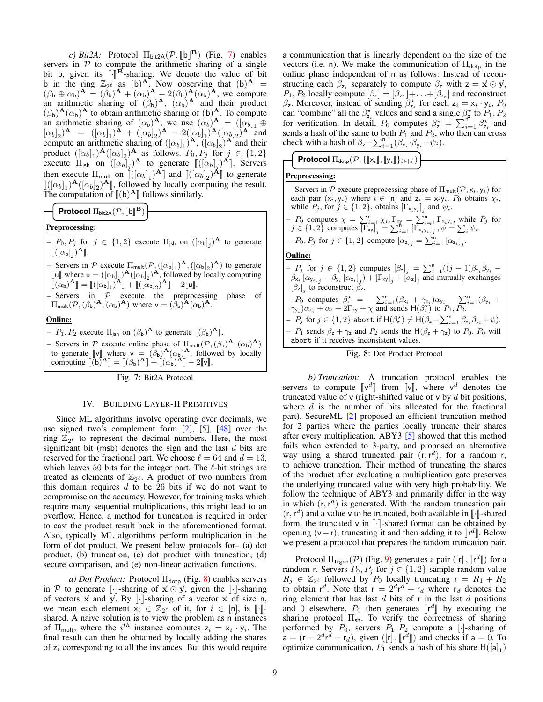*c) Bit2A:* Protocol  $\Pi_{\text{bit2A}}(\mathcal{P}, [\![\mathbf{b}]\!]^{\mathbf{B}})$  (Fig. [7\)](#page-8-0) enables<br>in  $\mathcal{P}$  to compute the arithmetic sharing of a single servers in  $P$  to compute the arithmetic sharing of a single bit b, given its  $\left[\cdot\right]^{\mathbf{B}}$ -sharing. We denote the value of bit b in the ring  $\mathbb{Z}_{\geq 0}$  as (b)<sup>A</sup>. Now observing that (b)<sup>A</sup>. b in the ring  $\mathbb{Z}_{2^e}^{\int_a^a a}$  as (b)<sup>A</sup>. Now observing that (b)<sup>A</sup> =  $(\beta_b \oplus \alpha_b)^{\mathbf{A}} = (\beta_b)^{\mathbf{A}} + (\alpha_b)^{\mathbf{A}} - 2(\beta_b)^{\mathbf{A}}(\alpha_b)^{\mathbf{A}}$ , we compute an arithmetic sharing of  $(\beta_b)^A$ ,  $(\alpha_b)^A$  and their product  $(\beta_{\rm b})^{\mathbf{A}}(\alpha_{\rm b})^{\mathbf{A}}$  to obtain arithmetic sharing of (b)<sup>A</sup>. To compute an arithmetic sharing of  $(\alpha_b)^A$ , we use  $(\alpha_b)^A = ([\alpha_b]_1 \oplus ...$  $[\alpha_b]_2)^{\mathbf{A}} = ([\alpha_b]_1)^{\mathbf{A}} + ([\alpha_b]_2)^{\mathbf{A}} - 2([\alpha_b]_1)^{\mathbf{A}} ([\alpha_b]_2)^{\mathbf{A}}$  and compute an arithmetic sharing of  $([\alpha_b]_1)^{\mathbf{A}}, (\overline{[\alpha_b]_2})^{\mathbf{A}}$  and their product  $([\alpha_b]_1)$ <sup>A</sup> $([\alpha_b]_2)$ <sup>A</sup> as follows.  $P_0, P_j$  for  $j \in \{1, 2\}$ execute  $\Pi_{\text{ish}}$  on  $((\alpha_b)_j)^{\mathbf{A}}$  to generate  $[\![([\alpha_b]_j)^{\mathbf{A}}]\!]$ . Servers then execute  $\Pi_{\text{mult}}$  on  $\left[ \left[ (\alpha_b)_1 \right]^{\mathbf{A}} \right]$  and  $\left[ \left[ (\alpha_b)_2 \right]^{\mathbf{A}} \right]$  to generate  $\left[ \left[ (\alpha_b]_2 \right]^{\mathbf{A}} \right]$  followed by locally computing the result  $\left[([\alpha_b]_1)^{\mathbf{A}}([\alpha_b]_2)^{\mathbf{A}}\right]$ , followed by locally computing the result.<br>The computation of  $\left[([\alpha_b]_1)^{\mathbf{A}}\right]$  follows similarly The computation of  $[(b)^A]$  follows similarly.

**Protocol**  $\Pi_{\text{bit2A}}(\mathcal{P}, \llbracket \textbf{b} \rrbracket^{\mathbf{B}})$ 

# Preprocessing:

- $-P_0, P_j$  for  $j \in \{1,2\}$  execute  $\Pi_{\mathsf{jsh}}$  on  $([\alpha_{\mathsf{b}}]_j)$ <sup>A</sup> to generate  $\llbracket (\left[\alpha_{\mathsf{b}}\right]_j)^{\mathbf{A}} \rrbracket.$
- Servers in  $P$  execute  $\Pi_{mult}(P,([\alpha_b]_1)^{\mathbf{A}},([\alpha_b]_2)^{\mathbf{A}})$  to generate  $\begin{bmatrix} \begin{bmatrix} 1 \end{bmatrix} \end{bmatrix}$  where  $\mathbf{u} = (\begin{bmatrix} \alpha_b \end{bmatrix}_1)^{\mathbf{A}} (\begin{bmatrix} \alpha_b \end{bmatrix}_2)^{\mathbf{A}}$ , followed by locally computing  $\begin{bmatrix} \begin{bmatrix} \alpha_c \\ \end{bmatrix} \end{bmatrix}$   $\mathbf{A}^{\mathbf{B}}$   $\begin{bmatrix} \begin{bmatrix} \begin{bmatrix} \alpha_c \\ \end{bmatrix} \end{bmatrix}$   $\mathbf{A}^{\mathbf{B}}$  $\overline{\mathbb{I}}(\alpha_{\mathsf{b}})^{\mathbf{A}} \mathbb{I} = \mathbb{I}([\alpha_{\mathsf{b}}]_1)^{\mathbf{A}} \mathbb{I} + \mathbb{I}([\alpha_{\mathsf{b}}]_2)^{\mathbf{A}} \mathbb{I} - 2\mathbb{I}[\mathsf{u}].$

 $-$  Servers in  $P$  execute the preprocessing phase of  $\Pi_{\text{mult}}(\mathcal{P}, (\beta_{\mathsf{b}})^{\mathbf{A}}, (\alpha_{\mathsf{b}})^{\mathbf{A}})$  where  $\mathsf{v} = (\beta_{\mathsf{b}})^{\mathbf{A}}(\alpha_{\mathsf{b}})^{\mathbf{A}}$ .

#### Online:

- $-P_1, P_2$  execute  $\Pi_{jsh}$  on  $(\beta_b)^{\mathbf{A}}$  to generate  $\left[\left(\beta_b\right)^{\mathbf{A}}\right]$ .
- Servers in P execute online phase of  $\Pi_{mult}(P, (\beta_b)^{\mathbf{A}}, (\alpha_b)^{\mathbf{A}})$ to generate  $[\![v]\!]$  where  $v = (\beta_b)^{\mathbf{A}} (\alpha_b)^{\mathbf{A}},$  followed by locally<br>computing  $[\![(h)^{\mathbf{A}}]\!] = [\![((\beta_h)^{\mathbf{A}}]\!] + [\![((\alpha_h)^{\mathbf{A}}]\!] = 2[\![v]\!]$ computing  $[(\tilde{b})^{\mathbf{A}}] = [(\beta_{\mathbf{b}})^{\mathbf{A}}] + [(\alpha_{\mathbf{b}})^{\mathbf{A}}] - 2[\mathbf{v}].$

<span id="page-8-0"></span>Fig. 7: Bit2A Protocol

# IV. BUILDING LAYER-II PRIMITIVES

Since ML algorithms involve operating over decimals, we use signed two's complement form [\[2\]](#page-13-1), [\[5\]](#page-13-19), [\[48\]](#page-13-29) over the ring  $\mathbb{Z}_{2^{\ell}}$  to represent the decimal numbers. Here, the most significant bit (msb) denotes the sign and the last  $d$  bits are reserved for the fractional part. We choose  $\ell = 64$  and  $d = 13$ , which leaves 50 bits for the integer part. The  $\ell$ -bit strings are treated as elements of  $\mathbb{Z}_{2^{\ell}}$ . A product of two numbers from this domain requires  $d$  to be 26 bits if we do not want to compromise on the accuracy. However, for training tasks which require many sequential multiplications, this might lead to an overflow. Hence, a method for truncation is required in order to cast the product result back in the aforementioned format. Also, typically ML algorithms perform multiplication in the form of dot product. We present below protocols for– (a) dot product, (b) truncation, (c) dot product with truncation, (d) secure comparison, and (e) non-linear activation functions.

*a) Dot Product:* Protocol Π<sub>dotp</sub> (Fig. [8\)](#page-8-1) enables servers in P to generate  $\llbracket \cdot \rrbracket$ -sharing of  $\vec{x} \odot \vec{y}$ , given the  $\llbracket \cdot \rrbracket$ -sharing of vectors  $\vec{x}$  and  $\vec{y}$ . By [.]-sharing of a vector  $\vec{x}$  of size n, we mean each element  $x_i \in \mathbb{Z}_{2\ell}$  of it, for  $i \in [n]$ , is  $[\cdot]\cdot]$ -<br>shared A naive solution is to view the problem as n instances shared. A naive solution is to view the problem as n instances of  $\Pi_{\text{mult}}$ , where the *i*<sup>th</sup> instance computes  $z_i = x_i \cdot y_i$ . The final result can then be obtained by locally adding the shares of  $z_i$  corresponding to all the instances. But this would require a communication that is linearly dependent on the size of the vectors (i.e. n). We make the communication of  $\Pi_{\text{dotp}}$  in the online phase independent of n as follows: Instead of reconstructing each  $\beta_{z_i}$  separately to compute  $\beta_z$  with  $z = \vec{x} \odot \vec{y}$ ,  $P_1, P_2$  locally compute  $[\beta_z] = [\beta_{z_1}] + ... + [\beta_{z_n}]$  and reconstruct  $β_z$ . Moreover, instead of sending  $β_{z_i}^*$  for each  $z_i = x_i \cdot y_i$ ,  $P_0$ can "combine" all the  $\beta_{z_i}^*$  values and send a single  $\beta_{z_i}^*$  to  $P_1, P_2$ for verification. In detail,  $P_0$  computes  $\beta_z^* = \sum_{i=1}^n \beta_{z_i}^*$  and sends a hash of the same to both  $P_1$  and  $P_2$ , who then can cross check with a hash of  $\beta_z - \sum_{i=1}^n (\beta_{x_i} \cdot \beta_{y_i} - \psi_i)$ .

**Protocol**  $\Pi_{\mathsf{dotp}}(\mathcal{P}, \{\llbracket \mathsf{x}_i \rrbracket, \llbracket \mathsf{y}_i \rrbracket\}_{i \in [n]})$ 

# Preprocessing:

| - Servers in P execute preprocessing phase of $\Pi_{mult}(P, x_i, y_i)$ for                                                                                                                                                |
|----------------------------------------------------------------------------------------------------------------------------------------------------------------------------------------------------------------------------|
| each pair $(x_i, y_i)$ where $i \in [n]$ and $z_i = x_i y_i$ . $P_0$ obtains $\chi_i$ ,                                                                                                                                    |
| while $P_j$ , for $j \in \{1,2\}$ , obtains $[\Gamma_{x_iy_i}]_j$ and $\psi_i$ .                                                                                                                                           |
| - $P_0$ computes $\chi = \sum_{i=1}^n \chi_i$ , $\Gamma_{xy} = \sum_{i=1}^n \Gamma_{x_i y_i}$ , while $P_j$ for<br>$j \in \{1, 2\}$ computes $[\Gamma_{xy}]_j = \sum_{i=1}^n [\Gamma_{xy_i}]_j$ , $\psi = \sum_i \psi_i$ . |
| $-P_0, P_j$ for $j \in \{1, 2\}$ compute $[\alpha_z]_j = \sum_{i=1}^n [\alpha_{z_i}]_j$ .                                                                                                                                  |
| <b>Online:</b>                                                                                                                                                                                                             |
| $-P_j$ for $j \in \{1,2\}$ computes $[\beta_z]_i = \sum_{i=1}^n ((j-1)\beta_{x_i}\beta_{y_i} -$                                                                                                                            |
| $\beta_{x_i} [\alpha_{y_i}]_j - \beta_{y_i} [\alpha_{x_i}]_j + [\Gamma_{xy}]_j + [\alpha_z]_j$ and mutually exchanges                                                                                                      |
| $[\beta_z]_i$ to reconstruct $\beta_z$ .                                                                                                                                                                                   |
| - $P_0$ computes $\beta_{z}^{*} = -\sum_{i=1}^{n} (\beta_{x_i} + \gamma_{x_i}) \alpha_{y_i} - \sum_{i=1}^{n} (\beta_{y_i} +$                                                                                               |

 $\gamma_{y_i}$ ) $\alpha_{x_i} + \alpha_z + 2\Gamma_{xy} + \chi$  and sends  $H(\beta_z^{\star})$  to  $P_1, P_2$ . -  $P_j$  for  $j \in \{1,2\}$  abort if  $H(\beta_z^{\star}) \neq H(\beta_z - \sum_{i=1}^n \beta_{x_i} \beta_{y_i} + \psi)$ . –  $P_1$  sends  $\beta_z + \gamma_z$  and  $P_2$  sends the  $H(\beta_z + \gamma_z)$  to  $P_0$ .  $P_0$  will abort if it receives inconsistent values.

<span id="page-8-1"></span>

*b) Truncation:* A truncation protocol enables the servers to compute  $\llbracket \vee^d \rrbracket$  from  $\llbracket \vee \rrbracket$ , where  $\vee^d$  denotes the truncated value of v (right-shifted value of v by d bit positions) truncated value of v (right-shifted value of v by  $d$  bit positions, where  $d$  is the number of bits allocated for the fractional part). SecureML [\[2\]](#page-13-1) proposed an efficient truncation method for 2 parties where the parties locally truncate their shares after every multiplication. ABY3 [\[5\]](#page-13-19) showed that this method fails when extended to 3-party, and proposed an alternative way using a shared truncated pair  $(\mathbf{r}, \mathbf{r}^d)$ , for a random r, to achieve truncation. Their method of truncating the shares of the product after evaluating a multiplication gate preserves the underlying truncated value with very high probability. We follow the technique of ABY3 and primarily differ in the way in which  $(r, r^d)$  is generated. With the random truncation pair  $(r, r<sup>d</sup>)$  and a value v to be truncated, both available in [[.]]-shared form the truncated v in [[.]]-shared format can be obtained by form, the truncated  $v$  in  $\lbrack \cdot \rbrack$ -shared format can be obtained by opening  $(v-r)$ , truncating it and then adding it to  $[[r^d]]$ . Below we present a protocol that prepares the random truncation pair we present a protocol that prepares the random truncation pair.

Protocol  $\Pi_{\text{trgen}}(\mathcal{P})$  (Fig. [9\)](#page-9-0) generates a pair ([r],  $\llbracket r^d \rrbracket$ ) for a hom r. Servers  $P_2$ ,  $P_1$  for  $i \in \{1, 2\}$  sample random value random r. Servers  $P_0, P_j$  for  $j \in \{1, 2\}$  sample random value  $R_j \in \mathbb{Z}_{2^{\ell}}$  followed by  $P_0$  locally truncating  $r = R_1 + R_2$ to obtain  $r^d$ . Note that  $r = 2^d r^d + r_d$  where  $r_d$  denotes the ring element that has last  $d$  bits of r in the last  $d$  positions and 0 elsewhere.  $P_0$  then generates  $[r^d]$  by executing the sharing protocol  $\Pi$ . To verify the correctness of sharing sharing protocol Πsh. To verify the correctness of sharing performed by  $P_0$ , servers  $P_1, P_2$  compute a [·]-sharing of  $\overline{a} = (r - 2^d r^d + r_d)$ , given  $([r], [r^d])$  and checks if  $a = 0$ . To optimize communication  $P_2$  sends a bash of his share  $H([a])$ optimize communication,  $P_1$  sends a hash of his share  $H([a]_1)$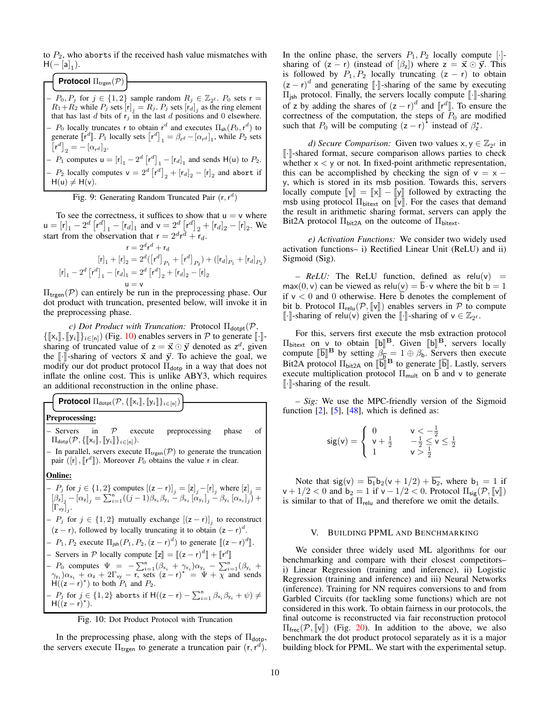to  $P_2$ , who aborts if the received hash value mismatches with  $H(-[a]_1).$ 

 $-P_0, P_j$  for  $j \in \{1,2\}$  sample random  $R_j \in \mathbb{Z}_{2^{\ell}}$ .  $P_0$  sets  $r =$  $R_1 + R_2$  while  $P_j$  sets  $[r]_j = R_j$ .  $P_j$  sets  $[r]_j$  as the ring element that has last d bits of  $r_j$  in the last d positions and 0 elsewhere. -  $P_0$  locally truncates r to obtain  $r^d$  and executes  $\Pi_{sh}(P_0, r^d)$  to generate  $\llbracket \mathbf{r}^d \rrbracket$ .  $P_1$  locally sets  $\lbrack \mathbf{r}^d \rbrack_1 = \beta_{\mathbf{r}^d} - [\alpha_{\mathbf{r}^d}]_1$ , while  $P_2$  sets  $\left[\mathbf{r}^d\right]_2 = -\left[\alpha_{\mathbf{r}^d}\right]_2.$ -  $P_1$  computes  $\mathsf{u} = [\mathsf{r}]_1 - 2^d [\mathsf{r}^d]_1 - [\mathsf{r}_d]_1$  and sends  $\mathsf{H}(\mathsf{u})$  to  $P_2$ . -  $P_2$  locally computes  $v = 2^d [r^d]_2 + [r_d]_2 - [r]_2$  and abort if  $H(u) \neq H(v)$ . **Protocol** Π<sub>trgen</sub> $(P)$ 

<span id="page-9-0"></span>Fig. 9: Generating Random Truncated Pair  $(r, r^d)$ 

To see the correctness, it suffices to show that  $u = v$  where  $\mathsf{u} = [\mathsf{r}]_1 - 2^d [\mathsf{r}^d]_1 - [\mathsf{r}_d]_1$  and  $\mathsf{v} = 2^d [\mathsf{r}^d]_2 + [\mathsf{r}_d]_2 - [\mathsf{r}]_2$ . We start from the observation that  $r = 2^d r^d + r_d$ .

$$
\mathbf{r} = 2^d \mathbf{r}^d + \mathbf{r}_d
$$

$$
[\mathbf{r}]_1 + [\mathbf{r}]_2 = 2^d([\mathbf{r}^d]_{P_1} + [\mathbf{r}^d]_{P_2}) + ([\mathbf{r}_d]_{P_1} + [\mathbf{r}_d]_{P_2})
$$

$$
[\mathbf{r}]_1 - 2^d [\mathbf{r}^d]_1 - [\mathbf{r}_d]_1 = 2^d [\mathbf{r}^d]_2 + [\mathbf{r}_d]_2 - [\mathbf{r}]_2
$$

$$
\mathbf{u} = \mathbf{v}
$$

 $\Pi_{\text{treen}}(\mathcal{P})$  can entirely be run in the preprocessing phase. Our dot product with truncation, presented below, will invoke it in the preprocessing phase.

*c) Dot Product with Truncation:* Protocol  $\Pi_{\text{dopt}}(\mathcal{P},$  $\{[[x_i]], [[y_i]]\}_{i\in[n]})$  (Fig. [10\)](#page-9-1) enables servers in P to generate  $[\cdot]$ sharing of truncated value of  $z = \vec{x} \odot \vec{y}$  denoted as  $z^d$ , given the  $\lbrack \cdot \rbrack$ -sharing of vectors  $\vec{x}$  and  $\vec{y}$ . To achieve the goal, we modify our dot product protocol  $\Pi_{\text{dot}}$  in a way that does not inflate the online cost. This is unlike ABY3, which requires an additional reconstruction in the online phase.

**Protocol**  $\Pi_{\mathsf{dotpt}}(\mathcal{P}, \{ \llbracket \mathsf{x}_i \rrbracket, \llbracket \mathsf{y}_i \rrbracket \}_{i \in [n]})$ 

# Preprocessing:

– Servers in  $P$  execute preprocessing phase of  $\Pi_{\text{dotp}}(\mathcal{P}, \{\llbracket \mathsf{x}_i \rrbracket, \llbracket \mathsf{y}_i \rrbracket\}_{i \in [n]}).$ 

– In parallel, servers execute  $\Pi_{\text{trgen}}(\mathcal{P})$  to generate the truncation pair ( $[r]$ ,  $[r^d]$ ). Moreover  $P_0$  obtains the value r in clear.

# Online:

- 
$$
P_j
$$
 for  $j \in \{1, 2\}$  computes  $[(z - r)]_j = [z]_j - [r]_j$  where  $[z]_j = [ \beta_z]_j - [\alpha_z]_j = \sum_{i=1}^n ((j-1)\beta_{x_i}\beta_{y_i} - \beta_{x_i} [\alpha_{y_i}]_j - \beta_{y_i} [\alpha_{x_i}]_j) +$   
\n $[\Gamma_{xy}]_j$ .  
\n-  $P_j$  for  $j \in \{1, 2\}$  mutually exchange  $[(z - r)]_j$  to reconstruct  
\n $(z - r)$ , followed by locally truncating it to obtain  $(z - r)^d$ .  
\n-  $P_1, P_2$  execute  $\Pi_{jsh}(P_1, P_2, (z - r)^d)$  to generate  $[[(z - r)^d]]$ .  
\n- *Severs in P* locally compute  $[[z] = [[(z - r)^d]] + [[r^d]]$   
\n-  $P_0$  computes  $\Psi = -\sum_{i=1}^n (\beta_{x_i} + \gamma_{x_i})\alpha_{y_i} - \sum_{i=1}^n (\beta_{y_i} + \gamma_{y_i})\alpha_{x_i} + \alpha_z + 2\Gamma_{xy} - r$ , sets  $(z - r)^* = \Psi + \chi$  and sends  
\n $H((z - r)^*)$  to both  $P_1$  and  $P_2$ .  
\n-  $P_j$  for  $j \in \{1, 2\}$  aborts if  $H((z - r) - \sum_{i=1}^n \beta_{x_i}\beta_{y_i} + \psi) \neq$   
\n $H((z - r)^*)$ .

<span id="page-9-1"></span>

In the preprocessing phase, along with the steps of  $\Pi_{\text{dotp}}$ , the servers execute  $\Pi_{\text{trgen}}$  to generate a truncation pair  $(r, r^d)$ . In the online phase, the servers  $P_1, P_2$  locally compute [ $\cdot$ ]sharing of  $(z - r)$  (instead of  $(\beta_z)$ ) where  $z = \vec{x} \odot \vec{y}$ . This is followed by  $P_1, P_2$  locally truncating  $(z - r)$  to obtain  $(z - r)^d$  and generating [.] sharing of the same by executing  $\Pi$  and generating  $\mathbb{R}$  sharing in  $\mathbb{R}$  and  $\mathbb{R}$  sharing  $\mathbb{R}$  sharing  $\mathbb{R}$  sharing  $\mathbb{R}$  sharing  $\mathbb{R}$  sharing  $\mathbb{R}$  sharing  $\mathbb{R$  $\Pi_{\text{jsh}}$  protocol. Finally, the servers locally compute  $\llbracket \cdot \rrbracket$ -sharing of z by adding the shares of  $(z - r)^d$  and  $[ [r^d] ]$ . To ensure the correctness of the computation, the steps of  $P_0$  are modified such that  $P_0$  will be computing  $(z - r)^{\frac{1}{\lambda}}$  instead of  $\beta_z^{\lambda}$ .

*d) Secure Comparison:* Given two values  $x, y \in \mathbb{Z}_{2^{\ell}}$  in  $\lceil \cdot \rceil$ -shared format, secure comparison allows parties to check whether  $x < y$  or not. In fixed-point arithmetic representation, this can be accomplished by checking the sign of  $v = x$ y, which is stored in its msb position. Towards this, servers locally compute  $\llbracket v \rrbracket = \llbracket x \rrbracket - \llbracket y \rrbracket$  followed by extracting the msb using protocol  $\Pi_{\text{bitext}}$  on  $\llbracket \nu \rrbracket$ . For the cases that demand the result in arithmetic sharing format, servers can apply the Bit2A protocol  $\Pi_{\text{bit2A}}$  on the outcome of  $\Pi_{\text{bitext}}$ .

*e) Activation Functions:* We consider two widely used activation functions– i) Rectified Linear Unit (ReLU) and ii) Sigmoid (Sig).

 $-$  *ReLU:* The ReLU function, defined as relu(v) =  $max(0, v)$  can be viewed as relu(v) =  $\overline{b} \cdot v$  where the bit  $b = 1$ if  $v < 0$  and 0 otherwise. Here  $\overline{b}$  denotes the complement of bit b. Protocol  $\Pi_{relu}(\mathcal{P}, \llbracket v \rrbracket)$  enables servers in  $\mathcal P$  to compute [|⋅]-sharing of relu(v) given the [[⋅]-sharing of  $v \in \mathbb{Z}_{2^{\ell}}$ .

For this, servers first execute the msb extraction protocol  $\Pi_{\text{bitext}}$  on v to obtain  $[\![\mathbf{b}]\!]^{\mathbf{B}}$ . Given  $[\![\mathbf{b}]\!]^{\mathbf{B}}$ , servers locally compute  $[\![\mathbf{b}]\!]^{\mathbf{B}}$  by setting  $\beta = 1 \oplus \beta$ . Servers then execute compute  $\llbracket \mathbf{\bar{b}} \rrbracket^{\mathbf{B}}$  by setting  $\beta_{\mathbf{\bar{b}}} = 1 \oplus \beta_{\mathbf{b}}$ . Servers then execute  $\mathbb{R}^3$  by concrete  $\llbracket \mathbf{\bar{b}} \rrbracket$ . Let us conversed  $\llbracket \mathbf{\bar{b}} \rrbracket$ Bit2A protocol  $\Pi_{\text{bit2A}}$  on  $\llbracket \overline{\mathbf{b}} \rrbracket^B$  to generate  $\llbracket \overline{\mathbf{b}} \rrbracket$ . Lastly, servers execute multiplication protocol  $\Pi_{\text{mult}}$  on b and v to generate  $\lbrack \cdot \rbrack$ -sharing of the result.

*– Sig:* We use the MPC-friendly version of the Sigmoid function  $[2]$ ,  $[5]$ ,  $[48]$ , which is defined as:

$$
\text{sig}(v) = \begin{cases} 0 & v < -\frac{1}{2} \\ v + \frac{1}{2} & -\frac{1}{2} \le v \le \frac{1}{2} \\ 1 & v > \frac{1}{2} \end{cases}
$$

Note that  $sig(v) = \overline{b_1}b_2(v + 1/2) + \overline{b_2}$ , where  $b_1 = 1$  if  $v + 1/2 < 0$  and  $b_2 = 1$  if  $v - 1/2 < 0$ . Protocol  $\Pi_{\text{sig}}(\mathcal{P}, \llbracket v \rrbracket)$ is similar to that of  $\Pi_{\text{relu}}$  and therefore we omit the details.

#### V. BUILDING PPML AND BENCHMARKING

We consider three widely used ML algorithms for our benchmarking and compare with their closest competitors– i) Linear Regression (training and inference), ii) Logistic Regression (training and inference) and iii) Neural Networks (inference). Training for NN requires conversions to and from Garbled Circuits (for tackling some functions) which are not considered in this work. To obtain fairness in our protocols, the final outcome is reconstructed via fair reconstruction protocol  $\Pi_{\text{free}}(\mathcal{P}, \llbracket \mathbf{v} \rrbracket)$  (Fig. [20\)](#page-16-0). In addition to the above, we also benchmark the dot product protocol separately as it is a major building block for PPML. We start with the experimental setup.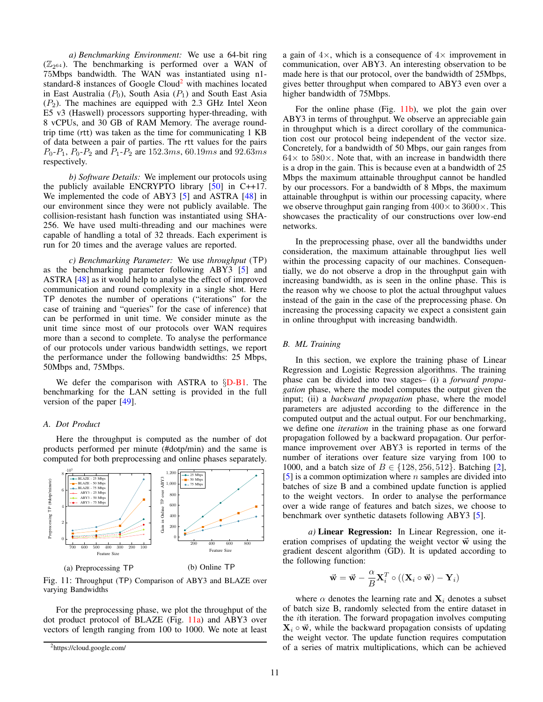*a) Benchmarking Environment:* We use a 64-bit ring  $(\mathbb{Z}_{2^{64}})$ . The benchmarking is performed over a WAN of 75Mbps bandwidth. The WAN was instantiated using n1- standard-8 instances of Google Cloud<sup>[2](#page-10-0)</sup> with machines located in East Australia  $(P_0)$ , South Asia  $(P_1)$  and South East Asia  $(P_2)$ . The machines are equipped with 2.3 GHz Intel Xeon E5 v3 (Haswell) processors supporting hyper-threading, with 8 vCPUs, and 30 GB of RAM Memory. The average roundtrip time (rtt) was taken as the time for communicating 1 KB of data between a pair of parties. The rtt values for the pairs  $P_0-P_1$ ,  $P_0-P_2$  and  $P_1-P_2$  are 152.3ms, 60.19ms and 92.63ms respectively.

*b) Software Details:* We implement our protocols using the publicly available ENCRYPTO library  $[50]$  in C++17. We implemented the code of ABY3 [\[5\]](#page-13-19) and ASTRA [\[48\]](#page-13-29) in our environment since they were not publicly available. The collision-resistant hash function was instantiated using SHA-256. We have used multi-threading and our machines were capable of handling a total of 32 threads. Each experiment is run for 20 times and the average values are reported.

*c) Benchmarking Parameter:* We use *throughput* (TP) as the benchmarking parameter following ABY3 [\[5\]](#page-13-19) and ASTRA [\[48\]](#page-13-29) as it would help to analyse the effect of improved communication and round complexity in a single shot. Here TP denotes the number of operations ("iterations" for the case of training and "queries" for the case of inference) that can be performed in unit time. We consider minute as the unit time since most of our protocols over WAN requires more than a second to complete. To analyse the performance of our protocols under various bandwidth settings, we report the performance under the following bandwidths: 25 Mbps, 50Mbps and, 75Mbps.

We defer the comparison with ASTRA to §[D-B1.](#page-16-1) The benchmarking for the LAN setting is provided in the full version of the paper [\[49\]](#page-13-32).

# *A. Dot Product*

Here the throughput is computed as the number of dot products performed per minute (#dotp/min) and the same is computed for both preprocessing and online phases separately.

<span id="page-10-1"></span>

Fig. 11: Throughput (TP) Comparison of ABY3 and BLAZE over varying Bandwidths

For the preprocessing phase, we plot the throughput of the dot product protocol of BLAZE (Fig. [11a\)](#page-10-1) and ABY3 over vectors of length ranging from 100 to 1000. We note at least a gain of  $4\times$ , which is a consequence of  $4\times$  improvement in communication, over ABY3. An interesting observation to be made here is that our protocol, over the bandwidth of 25Mbps, gives better throughput when compared to ABY3 even over a higher bandwidth of 75Mbps.

For the online phase (Fig. [11b\)](#page-10-1), we plot the gain over ABY3 in terms of throughput. We observe an appreciable gain in throughput which is a direct corollary of the communication cost our protocol being independent of the vector size. Concretely, for a bandwidth of 50 Mbps, our gain ranges from  $64\times$  to  $580\times$ . Note that, with an increase in bandwidth there is a drop in the gain. This is because even at a bandwidth of 25 Mbps the maximum attainable throughput cannot be handled by our processors. For a bandwidth of 8 Mbps, the maximum attainable throughput is within our processing capacity, where we observe throughput gain ranging from  $400 \times$  to  $3600 \times$ . This showcases the practicality of our constructions over low-end networks.

In the preprocessing phase, over all the bandwidths under consideration, the maximum attainable throughput lies well within the processing capacity of our machines. Consequentially, we do not observe a drop in the throughput gain with increasing bandwidth, as is seen in the online phase. This is the reason why we choose to plot the actual throughput values instead of the gain in the case of the preprocessing phase. On increasing the processing capacity we expect a consistent gain in online throughput with increasing bandwidth.

# *B. ML Training*

In this section, we explore the training phase of Linear Regression and Logistic Regression algorithms. The training phase can be divided into two stages– (i) a *forward propagation* phase, where the model computes the output given the input; (ii) a *backward propagation* phase, where the model parameters are adjusted according to the difference in the computed output and the actual output. For our benchmarking, we define one *iteration* in the training phase as one forward propagation followed by a backward propagation. Our performance improvement over ABY3 is reported in terms of the number of iterations over feature size varying from 100 to 1000, and a batch size of  $B \in \{128, 256, 512\}$ . Batching [\[2\]](#page-13-1),  $[5]$  is a common optimization where *n* samples are divided into batches of size B and a combined update function is applied to the weight vectors. In order to analyse the performance over a wide range of features and batch sizes, we choose to benchmark over synthetic datasets following ABY3 [\[5\]](#page-13-19).

*a)* Linear Regression: In Linear Regression, one iteration comprises of updating the weight vector  $\vec{w}$  using the gradient descent algorithm (GD). It is updated according to the following function:

$$
\vec{\mathbf{w}} = \vec{\mathbf{w}} - \frac{\alpha}{B} \mathbf{X}_i^T \circ ((\mathbf{X}_i \circ \vec{\mathbf{w}}) - \mathbf{Y}_i)
$$

where  $\alpha$  denotes the learning rate and  $X_i$  denotes a subset of batch size B, randomly selected from the entire dataset in the ith iteration. The forward propagation involves computing  $X_i \circ \vec{w}$ , while the backward propagation consists of updating the weight vector. The update function requires computation of a series of matrix multiplications, which can be achieved

<span id="page-10-0"></span><sup>2</sup>https://cloud.google.com/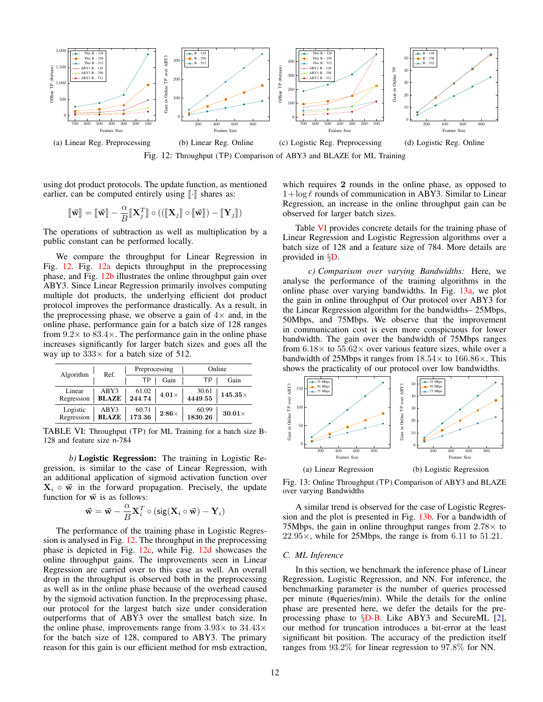<span id="page-11-0"></span>

Fig. 12: Throughput (TP) Comparison of ABY3 and BLAZE for ML Training

using dot product protocols. The update function, as mentioned earlier, can be computed entirely using  $\lbrack \cdot \rbrack$  shares as:

$$
[\![\vec{\mathbf{w}}]\!] = [\![\vec{\mathbf{w}}]\!] - \frac{\alpha}{B}[\![\mathbf{X}_j^T]\!] \circ (([\![\mathbf{X}_j]\!] \circ [\![\vec{\mathbf{w}}]\!] ) - [\![\mathbf{Y}_j]\!])
$$

The operations of subtraction as well as multiplication by a public constant can be performed locally.

We compare the throughput for Linear Regression in Fig. [12.](#page-11-0) Fig. [12a](#page-11-0) depicts throughput in the preprocessing phase, and Fig. [12b](#page-11-0) illustrates the online throughput gain over ABY3. Since Linear Regression primarily involves computing multiple dot products, the underlying efficient dot product protocol improves the performance drastically. As a result, in the preprocessing phase, we observe a gain of  $4\times$  and, in the online phase, performance gain for a batch size of 128 ranges from  $9.2 \times$  to  $83.4 \times$ . The performance gain in the online phase increases significantly for larger batch sizes and goes all the way up to  $333 \times$  for a batch size of 512.

<span id="page-11-1"></span>

| Algorithm              | Ref.                 | Preprocessing   |              | Online           |                |  |
|------------------------|----------------------|-----------------|--------------|------------------|----------------|--|
|                        |                      | <b>TP</b>       | Gain         | ТP               | Gain           |  |
| Linear<br>Regression   | ABY3<br><b>BLAZE</b> | 61.02<br>244.74 | $4.01\times$ | 30.61<br>4449.55 | $145.35\times$ |  |
| Logistic<br>Regression | ABY3<br><b>BLAZE</b> | 60.71<br>173.36 | $2.86\times$ | 60.99<br>1830.26 | $30.01\times$  |  |

TABLE VI: Throughput (TP) for ML Training for a batch size B-128 and feature size n-784

*b)* Logistic Regression: The training in Logistic Regression, is similar to the case of Linear Regression, with an additional application of sigmoid activation function over  $X_i \circ \vec{w}$  in the forward propagation. Precisely, the update function for  $\vec{w}$  is as follows:

$$
\vec{\mathbf{w}} = \vec{\mathbf{w}} - \frac{\alpha}{B} \mathbf{X}_i^T \circ (\text{sig}(\mathbf{X}_i \circ \vec{\mathbf{w}}) - \mathbf{Y}_i)
$$

The performance of the training phase in Logistic Regression is analysed in Fig. [12.](#page-11-0) The throughput in the preprocessing phase is depicted in Fig. [12c,](#page-11-0) while Fig. [12d](#page-11-0) showcases the online throughput gains. The improvements seen in Linear Regression are carried over to this case as well. An overall drop in the throughput is observed both in the preprocessing as well as in the online phase because of the overhead caused by the sigmoid activation function. In the preprocessing phase, our protocol for the largest batch size under consideration outperforms that of ABY3 over the smallest batch size. In the online phase, improvements range from  $3.93\times$  to  $34.43\times$ for the batch size of 128, compared to ABY3. The primary reason for this gain is our efficient method for msb extraction, which requires 2 rounds in the online phase, as opposed to  $1 + \log \ell$  rounds of communication in ABY3. Similar to Linear Regression, an increase in the online throughput gain can be observed for larger batch sizes.

Table [VI](#page-11-1) provides concrete details for the training phase of Linear Regression and Logistic Regression algorithms over a batch size of 128 and a feature size of 784. More details are provided in §[D.](#page-16-2)

*c) Comparison over varying Bandwidths:* Here, we analyse the performance of the training algorithms in the online phase over varying bandwidths. In Fig. [13a,](#page-11-2) we plot the gain in online throughput of Our protocol over ABY3 for the Linear Regression algorithm for the bandwidths– 25Mbps, 50Mbps, and 75Mbps. We observe that the improvement in communication cost is even more conspicuous for lower bandwidth. The gain over the bandwidth of 75Mbps ranges from  $6.18\times$  to  $55.62\times$  over various feature sizes, while over a bandwidth of 25Mbps it ranges from  $18.54\times$  to  $166.86\times$ . This shows the practicality of our protocol over low bandwidths.

<span id="page-11-2"></span>

Fig. 13: Online Throughput (TP) Comparison of ABY3 and BLAZE over varying Bandwidths

A similar trend is observed for the case of Logistic Regression and the plot is presented in Fig. [13b.](#page-11-2) For a bandwidth of 75Mbps, the gain in online throughput ranges from  $2.78\times$  to  $22.95\times$ , while for 25Mbps, the range is from 6.11 to 51.21.

# *C. ML Inference*

In this section, we benchmark the inference phase of Linear Regression, Logistic Regression, and NN. For inference, the benchmarking parameter is the number of queries processed per minute (#queries/min). While the details for the online phase are presented here, we defer the details for the preprocessing phase to §[D-B.](#page-16-3) Like ABY3 and SecureML [\[2\]](#page-13-1), our method for truncation introduces a bit-error at the least significant bit position. The accuracy of the prediction itself ranges from 93.2% for linear regression to 97.8% for NN.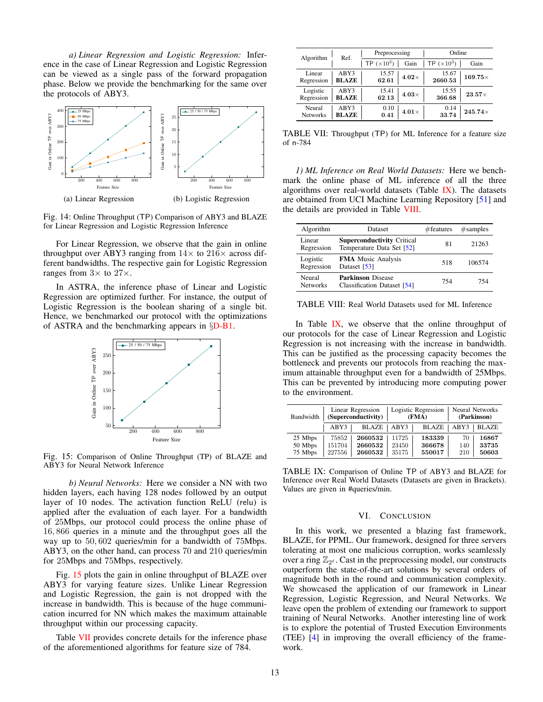*a) Linear Regression and Logistic Regression:* Inference in the case of Linear Regression and Logistic Regression can be viewed as a single pass of the forward propagation phase. Below we provide the benchmarking for the same over the protocols of ABY3.



Fig. 14: Online Throughput (TP) Comparison of ABY3 and BLAZE for Linear Regression and Logistic Regression Inference

For Linear Regression, we observe that the gain in online throughput over ABY3 ranging from  $14\times$  to  $216\times$  across different bandwidths. The respective gain for Logistic Regression ranges from  $3 \times$  to  $27 \times$ .

In ASTRA, the inference phase of Linear and Logistic Regression are optimized further. For instance, the output of Logistic Regression is the boolean sharing of a single bit. Hence, we benchmarked our protocol with the optimizations of ASTRA and the benchmarking appears in §[D-B1.](#page-16-1)

<span id="page-12-0"></span>

Fig. 15: Comparison of Online Throughput (TP) of BLAZE and ABY3 for Neural Network Inference

*b) Neural Networks:* Here we consider a NN with two hidden layers, each having 128 nodes followed by an output layer of 10 nodes. The activation function ReLU (relu) is applied after the evaluation of each layer. For a bandwidth of 25Mbps, our protocol could process the online phase of 16, 866 queries in a minute and the throughput goes all the way up to 50, 602 queries/min for a bandwidth of 75Mbps. ABY3, on the other hand, can process 70 and 210 queries/min for 25Mbps and 75Mbps, respectively.

Fig. [15](#page-12-0) plots the gain in online throughput of BLAZE over ABY3 for varying feature sizes. Unlike Linear Regression and Logistic Regression, the gain is not dropped with the increase in bandwidth. This is because of the huge communication incurred for NN which makes the maximum attainable throughput within our processing capacity.

Table [VII](#page-12-1) provides concrete details for the inference phase of the aforementioned algorithms for feature size of 784.

<span id="page-12-1"></span>

| Algorithm                 | Ref.                 | Preprocessing      |              | Online             |                |  |
|---------------------------|----------------------|--------------------|--------------|--------------------|----------------|--|
|                           |                      | TP $(\times 10^3)$ | Gain         | TP $(\times 10^3)$ | Gain           |  |
| Linear<br>Regression      | ABY3<br><b>BLAZE</b> | 15.57<br>62.61     | $4.02\times$ | 15.67<br>2660.53   | $169.75\times$ |  |
| Logistic<br>Regression    | ABY3<br><b>BLAZE</b> | 15.41<br>62.13     | $4.03\times$ | 15.55<br>366.68    | $23.57\times$  |  |
| Neural<br><b>Networks</b> | ABY3<br><b>BLAZE</b> | 0.10<br>0.41       | $4.01\times$ | 0.14<br>33.74      | $245.74\times$ |  |

TABLE VII: Throughput (TP) for ML Inference for a feature size of n-784

*1) ML Inference on Real World Datasets:* Here we benchmark the online phase of ML inference of all the three algorithms over real-world datasets (Table [IX\)](#page-12-2). The datasets are obtained from UCI Machine Learning Repository [\[51\]](#page-13-34) and the details are provided in Table [VIII.](#page-12-3)

<span id="page-12-3"></span>

| Algorithm                 | Dataset                                                        | #features | #samples |
|---------------------------|----------------------------------------------------------------|-----------|----------|
| Linear<br>Regression      | <b>Superconductivity Critical</b><br>Temperature Data Set [52] | 81        | 21263    |
| Logistic<br>Regression    | <b>FMA</b> Music Analysis<br>Dataset [53]                      | 518       | 106574   |
| Neural<br><b>Networks</b> | <b>Parkinson</b> Disease<br>Classification Dataset [54]        | 754       | 754      |

TABLE VIII: Real World Datasets used for ML Inference

In Table [IX,](#page-12-2) we observe that the online throughput of our protocols for the case of Linear Regression and Logistic Regression is not increasing with the increase in bandwidth. This can be justified as the processing capacity becomes the bottleneck and prevents our protocols from reaching the maximum attainable throughput even for a bandwidth of 25Mbps. This can be prevented by introducing more computing power to the environment.

<span id="page-12-2"></span>

| Bandwidth | Linear Regression<br>(Superconductivity) |         | Logistic Regression<br>(FMA) |              | Neural Networks<br>(Parkinson) |              |
|-----------|------------------------------------------|---------|------------------------------|--------------|--------------------------------|--------------|
|           | ABY3                                     | BLAZE   | ABY3                         | <b>BLAZE</b> | ABY3                           | <b>BLAZE</b> |
| 25 Mbps   | 75852                                    | 2660532 | 11725                        | 183339       | 70                             | 16867        |
| 50 Mbps   | 151704                                   | 2660532 | 23450                        | 366678       | 140                            | 33735        |
| 75 Mbps   | 227556                                   | 2660532 | 35175                        | 550017       | 210                            | 50603        |

TABLE IX: Comparison of Online TP of ABY3 and BLAZE for Inference over Real World Datasets (Datasets are given in Brackets). Values are given in #queries/min.

#### VI. CONCLUSION

In this work, we presented a blazing fast framework, BLAZE, for PPML. Our framework, designed for three servers tolerating at most one malicious corruption, works seamlessly over a ring  $\mathbb{Z}_{2^{\ell}}$ . Cast in the preprocessing model, our constructs outperform the state-of-the-art solutions by several orders of magnitude both in the round and communication complexity. We showcased the application of our framework in Linear Regression, Logistic Regression, and Neural Networks. We leave open the problem of extending our framework to support training of Neural Networks. Another interesting line of work is to explore the potential of Trusted Execution Environments (TEE) [\[4\]](#page-13-13) in improving the overall efficiency of the framework.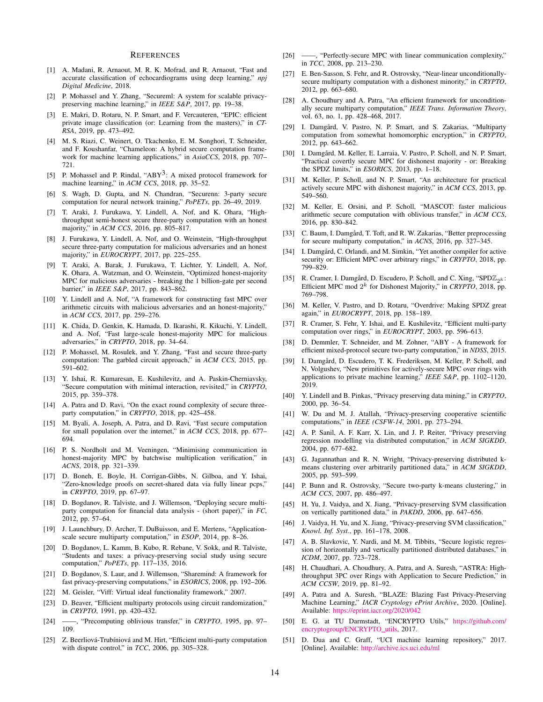#### **REFERENCES**

- <span id="page-13-0"></span>[1] A. Madani, R. Arnaout, M. R. K. Mofrad, and R. Arnaout, "Fast and accurate classification of echocardiograms using deep learning," *npj Digital Medicine*, 2018.
- <span id="page-13-1"></span>[2] P. Mohassel and Y. Zhang, "Secureml: A system for scalable privacypreserving machine learning," in *IEEE S&P*, 2017, pp. 19–38.
- [3] E. Makri, D. Rotaru, N. P. Smart, and F. Vercauteren, "EPIC: efficient private image classification (or: Learning from the masters)," in *CT-RSA*, 2019, pp. 473–492.
- <span id="page-13-13"></span>[4] M. S. Riazi, C. Weinert, O. Tkachenko, E. M. Songhori, T. Schneider, and F. Koushanfar, "Chameleon: A hybrid secure computation framework for machine learning applications," in *AsiaCCS*, 2018, pp. 707– 721.
- <span id="page-13-19"></span>[5] P. Mohassel and P. Rindal, "ABY<sup>3</sup>: A mixed protocol framework for machine learning," in *ACM CCS*, 2018, pp. 35–52.
- <span id="page-13-2"></span>[6] S. Wagh, D. Gupta, and N. Chandran, "Securenn: 3-party secure computation for neural network training," *PoPETs*, pp. 26–49, 2019.
- <span id="page-13-3"></span>[7] T. Araki, J. Furukawa, Y. Lindell, A. Nof, and K. Ohara, "Highthroughput semi-honest secure three-party computation with an honest majority," in *ACM CCS*, 2016, pp. 805–817.
- <span id="page-13-30"></span>[8] J. Furukawa, Y. Lindell, A. Nof, and O. Weinstein, "High-throughput secure three-party computation for malicious adversaries and an honest majority," in *EUROCRYPT*, 2017, pp. 225–255.
- <span id="page-13-31"></span>[9] T. Araki, A. Barak, J. Furukawa, T. Lichter, Y. Lindell, A. Nof, K. Ohara, A. Watzman, and O. Weinstein, "Optimized honest-majority MPC for malicious adversaries - breaking the 1 billion-gate per second barrier," in *IEEE S&P*, 2017, pp. 843–862.
- [10] Y. Lindell and A. Nof, "A framework for constructing fast MPC over arithmetic circuits with malicious adversaries and an honest-majority," in *ACM CCS*, 2017, pp. 259–276.
- [11] K. Chida, D. Genkin, K. Hamada, D. Ikarashi, R. Kikuchi, Y. Lindell, and A. Nof, "Fast large-scale honest-majority MPC for malicious adversaries," in *CRYPTO*, 2018, pp. 34–64.
- <span id="page-13-7"></span>[12] P. Mohassel, M. Rosulek, and Y. Zhang, "Fast and secure three-party computation: The garbled circuit approach," in *ACM CCS*, 2015, pp. 591–602.
- [13] Y. Ishai, R. Kumaresan, E. Kushilevitz, and A. Paskin-Cherniavsky, "Secure computation with minimal interaction, revisited," in *CRYPTO*, 2015, pp. 359–378.
- [14] A. Patra and D. Ravi, "On the exact round complexity of secure threeparty computation," in *CRYPTO*, 2018, pp. 425–458.
- [15] M. Byali, A. Joseph, A. Patra, and D. Ravi, "Fast secure computation for small population over the internet," in *ACM CCS*, 2018, pp. 677– 694.
- [16] P. S. Nordholt and M. Veeningen, "Minimising communication in honest-majority MPC by batchwise multiplication verification," in *ACNS*, 2018, pp. 321–339.
- <span id="page-13-4"></span>[17] D. Boneh, E. Boyle, H. Corrigan-Gibbs, N. Gilboa, and Y. Ishai, "Zero-knowledge proofs on secret-shared data via fully linear pcps," in *CRYPTO*, 2019, pp. 67–97.
- <span id="page-13-5"></span>[18] D. Bogdanov, R. Talviste, and J. Willemson, "Deploying secure multiparty computation for financial data analysis - (short paper)," in *FC*, 2012, pp. 57–64.
- <span id="page-13-6"></span>[19] J. Launchbury, D. Archer, T. DuBuisson, and E. Mertens, "Applicationscale secure multiparty computation," in *ESOP*, 2014, pp. 8–26.
- <span id="page-13-8"></span>[20] D. Bogdanov, L. Kamm, B. Kubo, R. Rebane, V. Sokk, and R. Talviste, "Students and taxes: a privacy-preserving social study using secure computation," *PoPETs*, pp. 117–135, 2016.
- <span id="page-13-9"></span>[21] D. Bogdanov, S. Laur, and J. Willemson, "Sharemind: A framework for fast privacy-preserving computations," in *ESORICS*, 2008, pp. 192–206.
- <span id="page-13-10"></span>[22] M. Geisler, "Viff: Virtual ideal functionality framework," 2007.
- <span id="page-13-11"></span>[23] D. Beaver, "Efficient multiparty protocols using circuit randomization," in *CRYPTO*, 1991, pp. 420–432.
- [24] ——, "Precomputing oblivious transfer," in *CRYPTO*, 1995, pp. 97– 109.
- [25] Z. Beerliová-Trubíniová and M. Hirt, "Efficient multi-party computation with dispute control," in *TCC*, 2006, pp. 305–328.
- [26] ——, "Perfectly-secure MPC with linear communication complexity," in *TCC*, 2008, pp. 213–230.
- [27] E. Ben-Sasson, S. Fehr, and R. Ostrovsky, "Near-linear unconditionallysecure multiparty computation with a dishonest minority," in *CRYPTO*, 2012, pp. 663–680.
- <span id="page-13-12"></span>[28] A. Choudhury and A. Patra, "An efficient framework for unconditionally secure multiparty computation," *IEEE Trans. Information Theory*, vol. 63, no. 1, pp. 428–468, 2017.
- <span id="page-13-14"></span>[29] I. Damgård, V. Pastro, N. P. Smart, and S. Zakarias, "Multiparty computation from somewhat homomorphic encryption," in *CRYPTO*, 2012, pp. 643–662.
- [30] I. Damgård, M. Keller, E. Larraia, V. Pastro, P. Scholl, and N. P. Smart, "Practical covertly secure MPC for dishonest majority - or: Breaking the SPDZ limits," in *ESORICS*, 2013, pp. 1–18.
- [31] M. Keller, P. Scholl, and N. P. Smart, "An architecture for practical actively secure MPC with dishonest majority," in *ACM CCS*, 2013, pp. 549–560.
- [32] M. Keller, E. Orsini, and P. Scholl, "MASCOT: faster malicious arithmetic secure computation with oblivious transfer," in *ACM CCS*, 2016, pp. 830–842.
- C. Baum, I. Damgård, T. Toft, and R. W. Zakarias, "Better preprocessing for secure multiparty computation," in *ACNS*, 2016, pp. 327–345.
- <span id="page-13-16"></span>[34] I. Damgård, C. Orlandi, and M. Simkin, "Yet another compiler for active security or: Efficient MPC over arbitrary rings," in *CRYPTO*, 2018, pp. 799–829.
- [35] R. Cramer, I. Damgård, D. Escudero, P. Scholl, and C. Xing, "SPD $\mathbb{Z}_{2^k}$ : Efficient MPC mod  $2^k$  for Dishonest Majority," in *CRYPTO*, 2018, pp. 769–798.
- <span id="page-13-15"></span>[36] M. Keller, V. Pastro, and D. Rotaru, "Overdrive: Making SPDZ great again," in *EUROCRYPT*, 2018, pp. 158–189.
- <span id="page-13-17"></span>[37] R. Cramer, S. Fehr, Y. Ishai, and E. Kushilevitz, "Efficient multi-party computation over rings," in *EUROCRYPT*, 2003, pp. 596–613.
- <span id="page-13-20"></span>[38] D. Demmler, T. Schneider, and M. Zohner, "ABY - A framework for efficient mixed-protocol secure two-party computation," in *NDSS*, 2015.
- <span id="page-13-18"></span>[39] I. Damgård, D. Escudero, T. K. Frederiksen, M. Keller, P. Scholl, and N. Volgushev, "New primitives for actively-secure MPC over rings with applications to private machine learning," *IEEE S&P*, pp. 1102–1120, 2019.
- <span id="page-13-21"></span>[40] Y. Lindell and B. Pinkas, "Privacy preserving data mining," in *CRYPTO*, 2000, pp. 36–54.
- <span id="page-13-22"></span>[41] W. Du and M. J. Atallah, "Privacy-preserving cooperative scientific computations," in *IEEE (CSFW-14*, 2001, pp. 273–294.
- <span id="page-13-23"></span>[42] A. P. Sanil, A. F. Karr, X. Lin, and J. P. Reiter, "Privacy preserving regression modelling via distributed computation," in *ACM SIGKDD*, 2004, pp. 677–682.
- <span id="page-13-24"></span>[43] G. Jagannathan and R. N. Wright, "Privacy-preserving distributed kmeans clustering over arbitrarily partitioned data," in *ACM SIGKDD*, 2005, pp. 593–599.
- <span id="page-13-25"></span>[44] P. Bunn and R. Ostrovsky, "Secure two-party k-means clustering," in *ACM CCS*, 2007, pp. 486–497.
- <span id="page-13-26"></span>[45] H. Yu, J. Vaidya, and X. Jiang, "Privacy-preserving SVM classification on vertically partitioned data," in *PAKDD*, 2006, pp. 647–656.
- <span id="page-13-27"></span>[46] J. Vaidya, H. Yu, and X. Jiang, "Privacy-preserving SVM classification," *Knowl. Inf. Syst.*, pp. 161–178, 2008.
- <span id="page-13-28"></span>[47] A. B. Slavkovic, Y. Nardi, and M. M. Tibbits, "Secure logistic regression of horizontally and vertically partitioned distributed databases," in *ICDM*, 2007, pp. 723–728.
- <span id="page-13-29"></span>[48] H. Chaudhari, A. Choudhury, A. Patra, and A. Suresh, "ASTRA: Highthroughput 3PC over Rings with Application to Secure Prediction," in *ACM CCSW*, 2019, pp. 81–92.
- <span id="page-13-32"></span>[49] A. Patra and A. Suresh, "BLAZE: Blazing Fast Privacy-Preserving Machine Learning," *IACR Cryptology ePrint Archive*, 2020. [Online]. Available: <https://eprint.iacr.org/2020/042>
- <span id="page-13-33"></span>[50] E. G. at TU Darmstadt, "ENCRYPTO Utils," [https://github.com/](https://github.com/encryptogroup/ENCRYPTO_utils) [encryptogroup/ENCRYPTO](https://github.com/encryptogroup/ENCRYPTO_utils)\_utils, 2017.
- <span id="page-13-34"></span>[51] D. Dua and C. Graff, "UCI machine learning repository," 2017. [Online]. Available: <http://archive.ics.uci.edu/ml>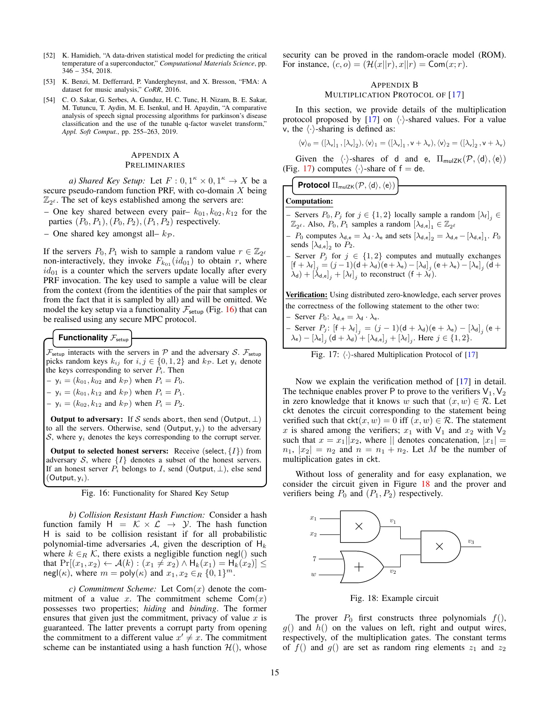- <span id="page-14-3"></span>[52] K. Hamidieh, "A data-driven statistical model for predicting the critical temperature of a superconductor," *Computational Materials Science*, pp. 346 – 354, 2018.
- <span id="page-14-4"></span>[53] K. Benzi, M. Defferrard, P. Vandergheynst, and X. Bresson, "FMA: A dataset for music analysis," *CoRR*, 2016.
- <span id="page-14-5"></span>[54] C. O. Sakar, G. Serbes, A. Gunduz, H. C. Tunc, H. Nizam, B. E. Sakar, M. Tutuncu, T. Aydin, M. E. Isenkul, and H. Apaydin, "A comparative analysis of speech signal processing algorithms for parkinson's disease classification and the use of the tunable q-factor wavelet transform," *Appl. Soft Comput.*, pp. 255–263, 2019.

# <span id="page-14-1"></span>APPENDIX A PRELIMINARIES

*a) Shared Key Setup:* Let  $F: 0, 1^{\kappa} \times 0, 1^{\kappa} \rightarrow X$  be a secure pseudo-random function PRF, with co-domain  $X$  being  $\mathbb{Z}_{2^{\ell}}$ . The set of keys established among the servers are:

- One key shared between every pair–  $k_{01}$ ,  $k_{02}$ ,  $k_{12}$  for the parties  $(P_0, P_1), (P_0, P_2), (P_1, P_2)$  respectively.
- One shared key amongst all–  $k_{\mathcal{P}}$ .

If the servers  $P_0, P_1$  wish to sample a random value  $r \in \mathbb{Z}_{2^{\ell}}$ non-interactively, they invoke  $F_{k_{01}}(id_{01})$  to obtain r, where  $id_{01}$  is a counter which the servers update locally after every PRF invocation. The key used to sample a value will be clear from the context (from the identities of the pair that samples or from the fact that it is sampled by all) and will be omitted. We model the key setup via a functionality  $\mathcal{F}_{\text{setup}}$  (Fig. [16\)](#page-14-0) that can be realised using any secure MPC protocol.

# **Functionality**  $\mathcal{F}_{\text{setup}}$

 $\mathcal{F}_{\text{setup}}$  interacts with the servers in  $\mathcal{P}$  and the adversary S.  $\mathcal{F}_{\text{setup}}$ picks random keys  $k_{ij}$  for  $i, j \in \{0, 1, 2\}$  and  $k_{\mathcal{P}}$ . Let  $y_i$  denote the keys corresponding to server  $P_i$ . Then

 $-y_i = (k_{01}, k_{02} \text{ and } k_{\mathcal{P}}) \text{ when } P_i = P_0.$ 

- $y_i = (k_{01}, k_{12} \text{ and } k_{\mathcal{P}}) \text{ when } P_i = P_1.$
- $y_i = (k_{02}, k_{12} \text{ and } k_{\mathcal{P}}) \text{ when } P_i = P_2.$

Output to adversary: If S sends abort, then send (Output,  $\perp$ ) to all the servers. Otherwise, send (Output,  $y_i$ ) to the adversary S, where  $y_i$  denotes the keys corresponding to the corrupt server.

**Output to selected honest servers:** Receive (select,  $\{I\}$ ) from adversary S, where  $\{I\}$  denotes a subset of the honest servers. If an honest server  $P_i$  belongs to I, send (Output,  $\perp$ ), else send  $(Output, y_i).$ 

<span id="page-14-0"></span>Fig. 16: Functionality for Shared Key Setup

*b) Collision Resistant Hash Function:* Consider a hash function family  $H = \mathcal{K} \times \mathcal{L} \rightarrow \mathcal{Y}$ . The hash function H is said to be collision resistant if for all probabilistic polynomial-time adversaries  $A$ , given the description of  $H_k$ where  $k \in_R \mathcal{K}$ , there exists a negligible function negl() such that  $Pr[(x_1, x_2) \leftarrow A(k) : (x_1 \neq x_2) \wedge H_k(x_1) = H_k(x_2)] \leq$  $\mathsf{negl}(\kappa)$ , where  $m = \mathsf{poly}(\kappa)$  and  $x_1, x_2 \in_R \{0, 1\}^m$ .

*c)* Commitment Scheme: Let  $Com(x)$  denote the commitment of a value x. The commitment scheme  $Com(x)$ possesses two properties; *hiding* and *binding*. The former ensures that given just the commitment, privacy of value  $x$  is guaranteed. The latter prevents a corrupt party from opening the commitment to a different value  $x' \neq x$ . The commitment scheme can be instantiated using a hash function  $\mathcal{H}()$ , whose security can be proved in the random-oracle model (ROM). For instance,  $(c, o) = (\mathcal{H}(x||r), x||r) = \text{Com}(x; r)$ .

# <span id="page-14-2"></span>APPENDIX B MULTIPLICATION PROTOCOL OF [\[17\]](#page-13-4)

In this section, we provide details of the multiplication protocol proposed by [\[17\]](#page-13-4) on  $\langle \cdot \rangle$ -shared values. For a value v, the  $\langle \cdot \rangle$ -sharing is defined as:

$$
\langle v \rangle_0 = ([\lambda_v]_1\,, [\lambda_v]_2), \langle v \rangle_1 = ([\lambda_v]_1\,, v + \lambda_v), \langle v \rangle_2 = ([\lambda_v]_2\,, v + \lambda_v)
$$

Given the  $\langle \cdot \rangle$ -shares of d and e,  $\Pi_{\text{mulZK}}(\mathcal{P},\langle d \rangle,\langle e \rangle)$ (Fig. [17\)](#page-14-6) computes  $\langle \cdot \rangle$ -share of f = de.

|  | $\Big\{ \text{ Protocol } \Pi_{\sf mulZK}(\mathcal{P}, \langle \sf d \rangle, \langle \sf e \rangle) \Big\}$ |  |
|--|--------------------------------------------------------------------------------------------------------------|--|
|--|--------------------------------------------------------------------------------------------------------------|--|

Computation:

- Servers  $P_0, P_j$  for  $j \in \{1, 2\}$  locally sample a random  $[\lambda_f]_j \in$  $\mathbb{Z}_{2^{\ell}}$ . Also,  $P_0, P_1$  samples a random  $[\lambda_{d,e}]_1 \in \mathbb{Z}_{2^{\ell}}$ 

 $-P_0$  computes  $\lambda_{d,e} = \lambda_d \cdot \lambda_e$  and sets  $[\lambda_{d,e}]_2 = \lambda_{d,e} - [\lambda_{d,e}]_1$ .  $P_0$ sends  $[\lambda_{d,e}]_2$  to  $P_2$ . – Server  $P_j$  for  $j \in \{1,2\}$  computes and mutually exchanges

 $\left[\mathsf{f}+\lambda_{\mathsf{f}}\right]_{j}=(j-1)(\mathsf{d}+\lambda_{\mathsf{d}})(\mathsf{e}+\lambda_{\mathsf{e}})-\left[\lambda_{\mathsf{d}}\right]_{j}(\mathsf{e}+\lambda_{\mathsf{e}})-\left[\lambda_{\mathsf{e}}\right]_{j}(\mathsf{d}+\lambda_{\mathsf{f}})$  $(\lambda_d) + [\lambda_{d,e}]_j + [\lambda_f]_j$  to reconstruct  $(f + \lambda_f)$ .

Verification: Using distributed zero-knowledge, each server proves the correctness of the following statement to the other two: Server  $P_0$ :  $\lambda_{d,s} = \lambda_d \cdot \lambda_c$ .

$$
\begin{aligned}\n &- \text{Server } P_j \colon [f + \lambda_f]_j = (j - 1)(d + \lambda_d)(e + \lambda_e) - [\lambda_d]_j \text{ (}e + \lambda_e) - [\lambda_e]_j \text{ (}d + \lambda_d) + [\lambda_d]_j + [\lambda_f]_j. \text{ Here } j \in \{1, 2\}.\n \end{aligned}
$$

<span id="page-14-6"></span>

Now we explain the verification method of [\[17\]](#page-13-4) in detail. The technique enables prover P to prove to the verifiers  $V_1, V_2$ in zero knowledge that it knows w such that  $(x, w) \in \mathcal{R}$ . Let ckt denotes the circuit corresponding to the statement being verified such that  $\text{ckt}(x, w) = 0$  iff  $(x, w) \in \mathcal{R}$ . The statement x is shared among the verifiers;  $x_1$  with  $V_1$  and  $x_2$  with  $V_2$ such that  $x = x_1 || x_2$ , where  $||$  denotes concatenation,  $|x_1| =$  $n_1$ ,  $|x_2| = n_2$  and  $n = n_1 + n_2$ . Let M be the number of multiplication gates in ckt.

Without loss of generality and for easy explanation, we consider the circuit given in Figure [18](#page-14-7) and the prover and verifiers being  $P_0$  and  $(P_1, P_2)$  respectively.

<span id="page-14-7"></span>

Fig. 18: Example circuit

The prover  $P_0$  first constructs three polynomials  $f(.)$ ,  $g()$  and  $h()$  on the values on left, right and output wires, respectively, of the multiplication gates. The constant terms of  $f()$  and  $g()$  are set as random ring elements  $z_1$  and  $z_2$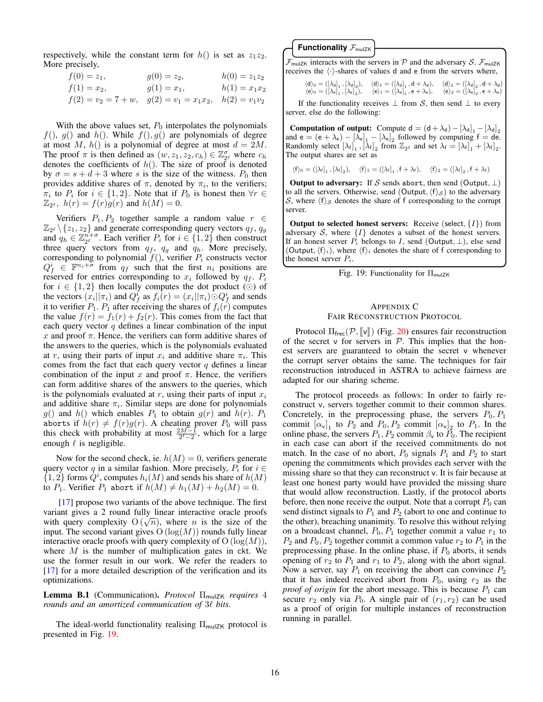respectively, while the constant term for  $h()$  is set as  $z_1z_2$ . More precisely,

| $f(0) = z_1,$                                                  | $g(0) = z_2,$ | $h(0) = z_1 z_2$ |
|----------------------------------------------------------------|---------------|------------------|
| $f(1) = x_2,$                                                  | $g(1) = x_1,$ | $h(1) = x_1 x_2$ |
| $f(2) = v_2 = 7 + w$ , $g(2) = v_1 = x_1x_2$ , $h(2) = v_1v_2$ |               |                  |

With the above values set,  $P_0$  interpolates the polynomials  $f($ ,  $g()$  and  $h($ ). While  $f($ ,  $g()$  are polynomials of degree at most M,  $h()$  is a polynomial of degree at most  $d = 2M$ . The proof  $\pi$  is then defined as  $(w, z_1, z_2, c_h) \in \mathbb{Z}_{2^{\ell}}^{\sigma}$  where  $c_h$ denotes the coefficients of  $h()$ . The size of proof is denoted by  $\sigma = s + d + 3$  where s is the size of the witness.  $P_0$  then provides additive shares of  $\pi$ , denoted by  $\pi_i$ , to the verifiers;  $\pi_i$  to  $P_i$  for  $i \in \{1, 2\}$ . Note that if  $P_0$  is honest then  $\forall r \in \mathbb{R}$  $\mathbb{Z}_{2^e}$ ,  $h(r) = f(r)g(r)$  and  $h(M) = 0$ .

Verifiers  $P_1, P_2$  together sample a random value  $r \in$  $\mathbb{Z}_{2^{\ell}}\setminus\{z_1,z_2\}$  and generate corresponding query vectors  $q_f, q_g$ and  $q_h \in \mathbb{Z}_{2^{\ell}}^{n+\sigma}$ . Each verifier  $P_i$  for  $i \in \{1,2\}$  then construct three query vectors from  $q_f$ ,  $q_g$  and  $q_h$ . More precisely, corresponding to polynomial  $f()$ , verifier  $P<sub>i</sub>$  constructs vector  $Q_f^i \in \mathbb{F}^{n_i+\sigma}$  from  $q_f$  such that the first  $n_i$  positions are reserved for entries corresponding to  $x_i$  followed by  $q_f$ .  $P_i$ for  $i \in \{1,2\}$  then locally computes the dot product ( $\odot$ ) of the vectors  $(x_i||\pi_i)$  and  $Q_f^i$  as  $f_i(r) = (x_i||\pi_i) \odot Q_f^i$  and sends it to verifier  $P_1$ .  $P_1$  after receiving the shares of  $f_i(\vec{r})$  computes the value  $f(r) = f_1(r) + f_2(r)$ . This comes from the fact that each query vector  $q$  defines a linear combination of the input x and proof  $\pi$ . Hence, the verifiers can form additive shares of the answers to the queries, which is the polynomials evaluated at r, using their parts of input  $x_i$  and additive share  $\pi_i$ . This comes from the fact that each query vector  $q$  defines a linear combination of the input x and proof  $\pi$ . Hence, the verifiers can form additive shares of the answers to the queries, which is the polynomials evaluated at  $r$ , using their parts of input  $x_i$ and additive share  $\pi_i$ . Similar steps are done for polynomials  $g()$  and  $h()$  which enables  $P_1$  to obtain  $g(r)$  and  $h(r)$ .  $P_1$ aborts if  $h(r) \neq f(r)g(r)$ . A cheating prover  $P_0$  will pass this check with probability at most  $\frac{2M-1}{2^{\ell}-2}$ , which for a large enough  $\ell$  is negligible.

Now for the second check, ie.  $h(M) = 0$ , verifiers generate query vector q in a similar fashion. More precisely,  $P_i$  for  $i \in$  $\{1,2\}$  forms  $Q^i$ , computes  $h_i(M)$  and sends his share of  $h(M)$ to  $P_1$ . Verifier  $P_1$  abort if  $h(M) \neq h_1(M) + h_2(M) = 0$ .

[\[17\]](#page-13-4) propose two variants of the above technique. The first variant gives a 2 round fully linear interactive oracle proofs with query complexity  $O(\sqrt{n})$ , where *n* is the size of the input. The second variant gives  $O(log(M))$  rounds fully linear interactive oracle proofs with query complexity of  $O(log(M))$ , where  $M$  is the number of multiplication gates in ckt. We use the former result in our work. We refer the readers to [\[17\]](#page-13-4) for a more detailed description of the verification and its optimizations.

Lemma B.1 (Communication). *Protocol* Π<sub>mulZK</sub> *requires* 4 *rounds and an amortized communication of 3* $\ell$  *bits.* 

The ideal-world functionality realising  $\Pi_{\mathsf{mulZK}}$  protocol is presented in Fig. [19.](#page-15-1)

**Functionality**  $\mathcal{F}_{\text{mulZK}}$ 

 $\mathcal{F}_{\text{mulZK}}$  interacts with the servers in  $\mathcal{P}$  and the adversary  $\mathcal{S}.$   $\mathcal{F}_{\text{mulZK}}$ receives the  $\langle \cdot \rangle$ -shares of values d and e from the servers where,

$$
\begin{array}{ll}\langle d\rangle_0=(\left[\lambda_d\right]_1,\left[\lambda_d\right]_2),&\langle d\rangle_1=(\left[\lambda_d\right]_1,d+\lambda_d),&\langle d\rangle_2=(\left[\lambda_d\right]_2,d+\lambda_d)\\ \langle e\rangle_0=(\left[\lambda_e\right]_1,\left[\lambda_e\right]_2),&\langle e\rangle_1=(\left[\lambda_e\right]_1,e+\lambda_e),&\langle e\rangle_2=(\left[\lambda_e\right]_2,e+\lambda_e)\end{array}
$$

If the functionality receives  $\perp$  from S, then send  $\perp$  to every server, else do the following:

Computation of output: Compute d =  $(d + \lambda_d) - [\lambda_d]_1 - [\lambda_d]_2$ and  $e = (e + \lambda_e) - [\lambda_e]_1 - [\lambda_e]_2$  followed by computing  $f = de$ . Randomly select  $[\lambda_f]_1$ ,  $[\lambda_f]_2$  from  $\mathbb{Z}_{2^{\ell}}$  and set  $\lambda_f = [\lambda_f]_1 + [\lambda_f]_2$ . The output shares are set as

$$
\langle f \rangle_0 = ([\lambda_f]_1\,, [\lambda_f]_2), \quad \langle f \rangle_1 = ([\lambda_f]_1\,, f + \lambda_f), \quad \langle f \rangle_2 = ([\lambda_f]_2\,, f + \lambda_f)
$$

**Output to adversary:** If S sends abort, then send (Output,  $\perp$ ) to all the servers. Otherwise, send (Output,  $\langle f \rangle_{\mathcal{S}}$ ) to the adversary S, where  $\langle f \rangle_{\mathcal{S}}$  denotes the share of f corresponding to the corrupt server.

Output to selected honest servers: Receive (select,  $\{I\}$ ) from adversary  $S$ , where  $\{I\}$  denotes a subset of the honest servers. If an honest server  $P_i$  belongs to I, send (Output,  $\perp$ ), else send (Output,  $\langle f \rangle_i$ ), where  $\langle f \rangle_i$  denotes the share of f corresponding to the honest server  $P_i$ .

<span id="page-15-1"></span>

# <span id="page-15-0"></span>APPENDIX C FAIR RECONSTRUCTION PROTOCOL

Protocol  $\Pi_{\text{free}}(\mathcal{P}, \llbracket \mathbf{v} \rrbracket)$  (Fig. [20\)](#page-16-0) ensures fair reconstruction of the secret v for servers in  $P$ . This implies that the honest servers are guaranteed to obtain the secret v whenever the corrupt server obtains the same. The techniques for fair reconstruction introduced in ASTRA to achieve fairness are adapted for our sharing scheme.

The protocol proceeds as follows: In order to fairly reconstruct v, servers together commit to their common shares. Concretely, in the preprocessing phase, the servers  $P_0, P_1$ commit  $[\alpha_{\nu}]_1$  to  $P_2$  and  $P_0, P_2$  commit  $[\alpha_{\nu}]_2$  to  $P_1$ . In the online phase, the servers  $P_1$ ,  $P_2$  commit  $\beta_v$  to  $P_0$ . The recipient in each case can abort if the received commitments do not match. In the case of no abort,  $P_0$  signals  $P_1$  and  $P_2$  to start opening the commitments which provides each server with the missing share so that they can reconstruct v. It is fair because at least one honest party would have provided the missing share that would allow reconstruction. Lastly, if the protocol aborts before, then none receive the output. Note that a corrupt  $P_0$  can send distinct signals to  $P_1$  and  $P_2$  (abort to one and continue to the other), breaching unanimity. To resolve this without relying on a broadcast channel,  $P_0$ ,  $P_1$  together commit a value  $r_1$  to  $P_2$  and  $P_0$ ,  $P_2$  together commit a common value  $r_2$  to  $P_1$  in the preprocessing phase. In the online phase, if  $P_0$  aborts, it sends opening of  $r_2$  to  $P_1$  and  $r_1$  to  $P_2$ , along with the abort signal. Now a server, say  $P_1$  on receiving the abort can convince  $P_2$ that it has indeed received abort from  $P_0$ , using  $r_2$  as the *proof of origin* for the abort message. This is because  $P_1$  can secure  $r_2$  only via  $P_0$ . A single pair of  $(r_1, r_2)$  can be used as a proof of origin for multiple instances of reconstruction running in parallel.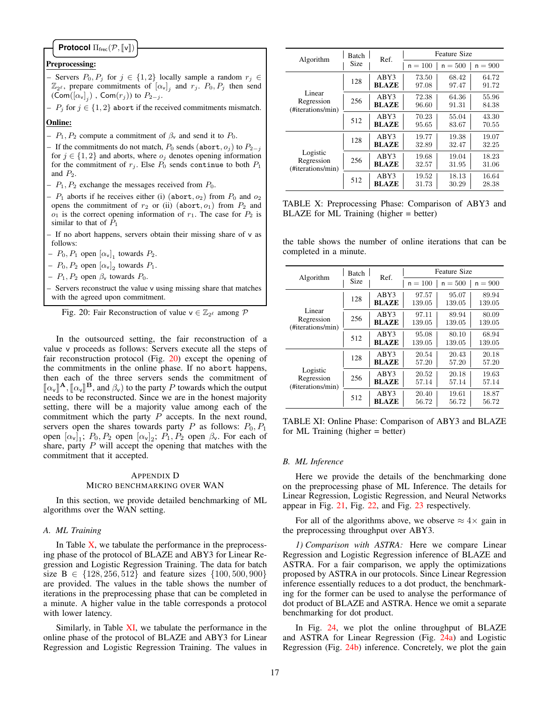# **Protocol** Π<sub>frec</sub>( $\mathcal{P}, \llbracket \mathsf{v} \rrbracket$ )

# Preprocessing:

- Servers  $P_0, P_j$  for  $j \in \{1, 2\}$  locally sample a random  $r_j \in$  $\mathbb{Z}_{2^{\ell}}$ , prepare commitments of  $[\alpha_{\nu}]_j$  and  $r_j$ .  $P_0, P_j$  then send  $(\mathsf{Com}([\alpha_{\mathsf{v}}]_j)$  ,  $\mathsf{Com}(r_j)$ ) to  $P_{2-j}$ .
- $P_i$  for  $j \in \{1, 2\}$  abort if the received commitments mismatch.

# Online:

- $P_1$ ,  $P_2$  compute a commitment of  $\beta_{\rm v}$  and send it to  $P_0$ .
- If the commitments do not match,  $P_0$  sends (abort,  $o_i$ ) to  $P_{2-i}$ for  $j \in \{1, 2\}$  and aborts, where  $o_j$  denotes opening information for the commitment of  $r_j$ . Else  $P_0$  sends continue to both  $P_1$ and  $P_2$ .
- $P_1, P_2$  exchange the messages received from  $P_0$ .
- $P_1$  aborts if he receives either (i) (abort,  $o_2$ ) from  $P_0$  and  $o_2$ opens the commitment of  $r_2$  or (ii) (abort,  $o_1$ ) from  $P_2$  and  $o_1$  is the correct opening information of  $r_1$ . The case for  $P_2$  is similar to that of  $P_1$
- If no abort happens, servers obtain their missing share of v as follows:
- $-P_0, P_1$  open  $[\alpha_v]_1$  towards  $P_2$ .
- $-P_0, P_2$  open  $[\alpha_v]_2$  towards  $P_1$ .
- $P_1$ ,  $P_2$  open  $\beta_v$  towards  $P_0$ .
- Servers reconstruct the value v using missing share that matches with the agreed upon commitment.

<span id="page-16-0"></span>Fig. 20: Fair Reconstruction of value  $v \in \mathbb{Z}_{2^{\ell}}$  among  $\mathcal{P}$ 

In the outsourced setting, the fair reconstruction of a value v proceeds as follows: Servers execute all the steps of fair reconstruction protocol (Fig. [20\)](#page-16-0) except the opening of the commitments in the online phase. If no abort happens, then each of the three servers sends the commitment of  $\llbracket \alpha_v \rrbracket^{\mathbf{A}}$ ,  $\llbracket \alpha_v \rrbracket^{\mathbf{B}}$ , and  $\beta_v$ ) to the party P towards which the output needs to be reconstructed. Since we are in the honest majority setting, there will be a majority value among each of the commitment which the party  $P$  accepts. In the next round, servers open the shares towards party  $P$  as follows:  $P_0$ ,  $P_1$ open  $[\alpha_{\nu}]_1$ ;  $P_0$ ,  $P_2$  open  $[\alpha_{\nu}]_2$ ;  $P_1$ ,  $P_2$  open  $\beta_{\nu}$ . For each of share, party  $P$  will accept the opening that matches with the commitment that it accepted.

# <span id="page-16-2"></span>APPENDIX D MICRO BENCHMARKING OVER WAN

In this section, we provide detailed benchmarking of ML algorithms over the WAN setting.

# *A. ML Training*

In Table  $X$ , we tabulate the performance in the preprocessing phase of the protocol of BLAZE and ABY3 for Linear Regression and Logistic Regression Training. The data for batch size B  $\in$  {128, 256, 512} and feature sizes {100, 500, 900} are provided. The values in the table shows the number of iterations in the preprocessing phase that can be completed in a minute. A higher value in the table corresponds a protocol with lower latency.

Similarly, in Table [XI,](#page-16-5) we tabulate the performance in the online phase of the protocol of BLAZE and ABY3 for Linear Regression and Logistic Regression Training. The values in

<span id="page-16-4"></span>

| Algorithm                                   | <b>Batch</b><br>Size | Ref.         | <b>Feature Size</b> |           |           |
|---------------------------------------------|----------------------|--------------|---------------------|-----------|-----------|
|                                             |                      |              | $n = 100$           | $n = 500$ | $n = 900$ |
| Linear<br>Regression<br>(#iterations/min)   | 128                  | ABY3         | 73.50               | 68.42     | 64.72     |
|                                             |                      | <b>BLAZE</b> | 97.08               | 97.47     | 91.72     |
|                                             | 256                  | ABY3         | 72.38               | 64.36     | 55.96     |
|                                             |                      | <b>BLAZE</b> | 96.60               | 91.31     | 84.38     |
|                                             | 512                  | ABY3         | 70.23               | 55.04     | 43.30     |
|                                             |                      | <b>BLAZE</b> | 95.65               | 83.67     | 70.55     |
| Logistic<br>Regression<br>(#iterations/min) | 128                  | ABY3         | 19.77               | 19.38     | 19.07     |
|                                             |                      | <b>BLAZE</b> | 32.89               | 32.47     | 32.25     |
|                                             | 256                  | ABY3         | 19.68               | 19.04     | 18.23     |
|                                             |                      | <b>BLAZE</b> | 32.57               | 31.95     | 31.06     |
|                                             | 512                  | ABY3         | 19.52               | 18.13     | 16.64     |
|                                             |                      | <b>BLAZE</b> | 31.73               | 30.29     | 28.38     |

TABLE X: Preprocessing Phase: Comparison of ABY3 and BLAZE for ML Training (higher = better)

the table shows the number of online iterations that can be completed in a minute.

<span id="page-16-5"></span>

| Algorithm                                   | <b>Batch</b><br>Size | Ref.                 | <b>Feature Size</b> |           |           |
|---------------------------------------------|----------------------|----------------------|---------------------|-----------|-----------|
|                                             |                      |                      | $n = 100$           | $n = 500$ | $n = 900$ |
| Linear<br>Regression<br>(#iterations/min)   | 128                  | ABY3<br><b>BLAZE</b> | 97.57               | 95.07     | 89.94     |
|                                             |                      |                      | 139.05              | 139.05    | 139.05    |
|                                             | 256                  | ABY3                 | 97.11               | 89.94     | 80.09     |
|                                             |                      | <b>BLAZE</b>         | 139.05              | 139.05    | 139.05    |
|                                             | 512                  | ABY3                 | 95.08               | 80.10     | 68.94     |
|                                             |                      | <b>BLAZE</b>         | 139.05              | 139.05    | 139.05    |
| Logistic<br>Regression<br>(#iterations/min) | 128                  | ABY3                 | 20.54               | 20.43     | 20.18     |
|                                             |                      | <b>BLAZE</b>         | 57.20               | 57.20     | 57.20     |
|                                             | 256                  | ABY3                 | 20.52               | 20.18     | 19.63     |
|                                             |                      | <b>BLAZE</b>         | 57.14               | 57.14     | 57.14     |
|                                             | 512                  | ABY3                 | 20.40               | 19.61     | 18.87     |
|                                             |                      | <b>BLAZE</b>         | 56.72               | 56.72     | 56.72     |

TABLE XI: Online Phase: Comparison of ABY3 and BLAZE for ML Training (higher = better)

#### <span id="page-16-3"></span>*B. ML Inference*

Here we provide the details of the benchmarking done on the preprocessing phase of ML Inference. The details for Linear Regression, Logistic Regression, and Neural Networks appear in Fig. [21,](#page-17-0) Fig. [22,](#page-17-1) and Fig. [23](#page-17-2) respectively.

For all of the algorithms above, we observe  $\approx 4 \times$  gain in the preprocessing throughput over ABY3.

<span id="page-16-1"></span>*1) Comparison with ASTRA:* Here we compare Linear Regression and Logistic Regression inference of BLAZE and ASTRA. For a fair comparison, we apply the optimizations proposed by ASTRA in our protocols. Since Linear Regression inference essentially reduces to a dot product, the benchmarking for the former can be used to analyse the performance of dot product of BLAZE and ASTRA. Hence we omit a separate benchmarking for dot product.

In Fig. [24,](#page-17-3) we plot the online throughput of BLAZE and ASTRA for Linear Regression (Fig. [24a\)](#page-17-3) and Logistic Regression (Fig. [24b\)](#page-17-3) inference. Concretely, we plot the gain